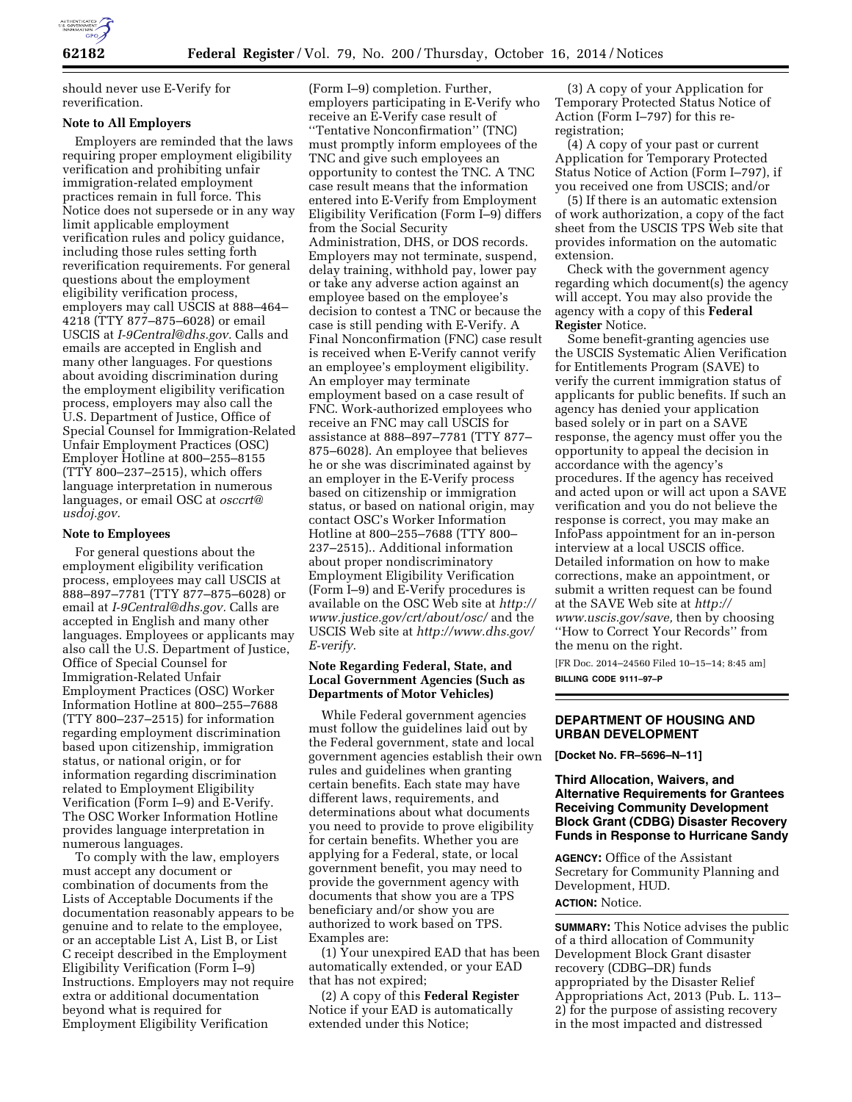

should never use E-Verify for reverification.

### **Note to All Employers**

Employers are reminded that the laws requiring proper employment eligibility verification and prohibiting unfair immigration-related employment practices remain in full force. This Notice does not supersede or in any way limit applicable employment verification rules and policy guidance, including those rules setting forth reverification requirements. For general questions about the employment eligibility verification process, employers may call USCIS at 888–464– 4218 (TTY 877–875–6028) or email USCIS at *[I-9Central@dhs.gov.](mailto:I-9Central@dhs.gov)* Calls and emails are accepted in English and many other languages. For questions about avoiding discrimination during the employment eligibility verification process, employers may also call the U.S. Department of Justice, Office of Special Counsel for Immigration-Related Unfair Employment Practices (OSC) Employer Hotline at 800–255–8155 (TTY 800–237–2515), which offers language interpretation in numerous languages, or email OSC at *[osccrt@](mailto:osccrt@usdoj.gov) [usdoj.gov.](mailto:osccrt@usdoj.gov)* 

### **Note to Employees**

For general questions about the employment eligibility verification process, employees may call USCIS at 888–897–7781 (TTY 877–875–6028) or email at *[I-9Central@dhs.gov.](mailto:I-9Central@dhs.gov)* Calls are accepted in English and many other languages. Employees or applicants may also call the U.S. Department of Justice, Office of Special Counsel for Immigration-Related Unfair Employment Practices (OSC) Worker Information Hotline at 800–255–7688 (TTY 800–237–2515) for information regarding employment discrimination based upon citizenship, immigration status, or national origin, or for information regarding discrimination related to Employment Eligibility Verification (Form I–9) and E-Verify. The OSC Worker Information Hotline provides language interpretation in numerous languages.

To comply with the law, employers must accept any document or combination of documents from the Lists of Acceptable Documents if the documentation reasonably appears to be genuine and to relate to the employee, or an acceptable List A, List B, or List C receipt described in the Employment Eligibility Verification (Form I–9) Instructions. Employers may not require extra or additional documentation beyond what is required for Employment Eligibility Verification

(Form I–9) completion. Further, employers participating in E-Verify who receive an E-Verify case result of ''Tentative Nonconfirmation'' (TNC) must promptly inform employees of the TNC and give such employees an opportunity to contest the TNC. A TNC case result means that the information entered into E-Verify from Employment Eligibility Verification (Form I–9) differs from the Social Security Administration, DHS, or DOS records. Employers may not terminate, suspend, delay training, withhold pay, lower pay or take any adverse action against an employee based on the employee's decision to contest a TNC or because the case is still pending with E-Verify. A Final Nonconfirmation (FNC) case result is received when E-Verify cannot verify an employee's employment eligibility. An employer may terminate employment based on a case result of FNC. Work-authorized employees who receive an FNC may call USCIS for assistance at 888–897–7781 (TTY 877– 875–6028). An employee that believes he or she was discriminated against by an employer in the E-Verify process based on citizenship or immigration status, or based on national origin, may contact OSC's Worker Information Hotline at 800–255–7688 (TTY 800– 237–2515).. Additional information about proper nondiscriminatory Employment Eligibility Verification (Form I–9) and E-Verify procedures is available on the OSC Web site at *[http://](http://www.justice.gov/crt/about/osc/) [www.justice.gov/crt/about/osc/](http://www.justice.gov/crt/about/osc/)* and the USCIS Web site at *[http://www.dhs.gov/](http://www.dhs.gov/E-verify) [E-verify.](http://www.dhs.gov/E-verify)* 

## **Note Regarding Federal, State, and Local Government Agencies (Such as Departments of Motor Vehicles)**

While Federal government agencies must follow the guidelines laid out by the Federal government, state and local government agencies establish their own rules and guidelines when granting certain benefits. Each state may have different laws, requirements, and determinations about what documents you need to provide to prove eligibility for certain benefits. Whether you are applying for a Federal, state, or local government benefit, you may need to provide the government agency with documents that show you are a TPS beneficiary and/or show you are authorized to work based on TPS. Examples are:

(1) Your unexpired EAD that has been automatically extended, or your EAD that has not expired;

(2) A copy of this **Federal Register**  Notice if your EAD is automatically extended under this Notice;

(3) A copy of your Application for Temporary Protected Status Notice of Action (Form I–797) for this reregistration;

(4) A copy of your past or current Application for Temporary Protected Status Notice of Action (Form I–797), if you received one from USCIS; and/or

(5) If there is an automatic extension of work authorization, a copy of the fact sheet from the USCIS TPS Web site that provides information on the automatic extension.

Check with the government agency regarding which document(s) the agency will accept. You may also provide the agency with a copy of this **Federal Register** Notice.

Some benefit-granting agencies use the USCIS Systematic Alien Verification for Entitlements Program (SAVE) to verify the current immigration status of applicants for public benefits. If such an agency has denied your application based solely or in part on a SAVE response, the agency must offer you the opportunity to appeal the decision in accordance with the agency's procedures. If the agency has received and acted upon or will act upon a SAVE verification and you do not believe the response is correct, you may make an InfoPass appointment for an in-person interview at a local USCIS office. Detailed information on how to make corrections, make an appointment, or submit a written request can be found at the SAVE Web site at *[http://](http://www.uscis.gov/save)  [www.uscis.gov/save,](http://www.uscis.gov/save)* then by choosing ''How to Correct Your Records'' from the menu on the right.

[FR Doc. 2014–24560 Filed 10–15–14; 8:45 am] **BILLING CODE 9111–97–P** 

# **DEPARTMENT OF HOUSING AND URBAN DEVELOPMENT**

**[Docket No. FR–5696–N–11]** 

# **Third Allocation, Waivers, and Alternative Requirements for Grantees Receiving Community Development Block Grant (CDBG) Disaster Recovery Funds in Response to Hurricane Sandy**

**AGENCY:** Office of the Assistant Secretary for Community Planning and Development, HUD.

# **ACTION:** Notice.

**SUMMARY:** This Notice advises the public of a third allocation of Community Development Block Grant disaster recovery (CDBG–DR) funds appropriated by the Disaster Relief Appropriations Act, 2013 (Pub. L. 113– 2) for the purpose of assisting recovery in the most impacted and distressed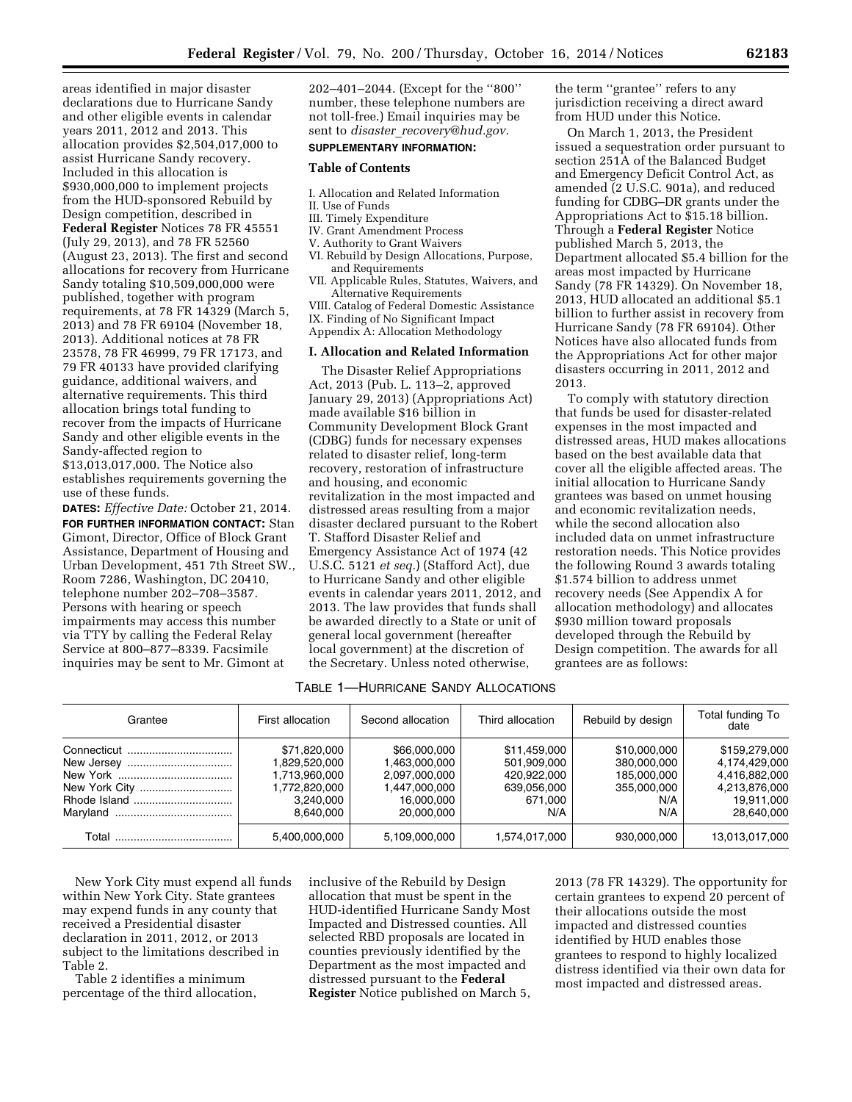areas identified in major disaster declarations due to Hurricane Sandy and other eligible events in calendar years 2011, 2012 and 2013. This allocation provides \$2,504,017,000 to assist Hurricane Sandy recovery. Included in this allocation is \$930,000,000 to implement projects from the HUD-sponsored Rebuild by Design competition, described in **Federal Register** Notices 78 FR 45551 (July 29, 2013), and 78 FR 52560 (August 23, 2013). The first and second allocations for recovery from Hurricane Sandy totaling \$10,509,000,000 were published, together with program requirements, at 78 FR 14329 (March 5, 2013) and 78 FR 69104 (November 18, 2013). Additional notices at 78 FR 23578, 78 FR 46999, 79 FR 17173, and 79 FR 40133 have provided clarifying guidance, additional waivers, and alternative requirements. This third allocation brings total funding to recover from the impacts of Hurricane Sandy and other eligible events in the Sandy-affected region to \$13,013,017,000. The Notice also establishes requirements governing the use of these funds.

**DATES:** *Effective Date:* October 21, 2014. **FOR FURTHER INFORMATION CONTACT:** Stan Gimont, Director, Office of Block Grant Assistance, Department of Housing and Urban Development, 451 7th Street SW., Room 7286, Washington, DC 20410, telephone number 202–708–3587. Persons with hearing or speech impairments may access this number via TTY by calling the Federal Relay Service at 800–877–8339. Facsimile inquiries may be sent to Mr. Gimont at

202–401–2044. (Except for the ''800'' number, these telephone numbers are not toll-free.) Email inquiries may be sent to *disaster*\_*[recovery@hud.gov.](mailto:disaster_recovery@hud.gov)* 

# **SUPPLEMENTARY INFORMATION:**

## **Table of Contents**

- I. Allocation and Related Information
- II. Use of Funds
- III. Timely Expenditure
- IV. Grant Amendment Process
- V. Authority to Grant Waivers
- VI. Rebuild by Design Allocations, Purpose, and Requirements
- VII. Applicable Rules, Statutes, Waivers, and Alternative Requirements
- VIII. Catalog of Federal Domestic Assistance IX. Finding of No Significant Impact Appendix A: Allocation Methodology
- **I. Allocation and Related Information**

The Disaster Relief Appropriations Act, 2013 (Pub. L. 113–2, approved January 29, 2013) (Appropriations Act) made available \$16 billion in Community Development Block Grant (CDBG) funds for necessary expenses related to disaster relief, long-term recovery, restoration of infrastructure and housing, and economic revitalization in the most impacted and distressed areas resulting from a major disaster declared pursuant to the Robert T. Stafford Disaster Relief and Emergency Assistance Act of 1974 (42 U.S.C. 5121 *et seq.*) (Stafford Act), due to Hurricane Sandy and other eligible events in calendar years 2011, 2012, and 2013. The law provides that funds shall be awarded directly to a State or unit of general local government (hereafter local government) at the discretion of the Secretary. Unless noted otherwise,

the term ''grantee'' refers to any jurisdiction receiving a direct award from HUD under this Notice.

On March 1, 2013, the President issued a sequestration order pursuant to section 251A of the Balanced Budget and Emergency Deficit Control Act, as amended (2 U.S.C. 901a), and reduced funding for CDBG–DR grants under the Appropriations Act to \$15.18 billion. Through a **Federal Register** Notice published March 5, 2013, the Department allocated \$5.4 billion for the areas most impacted by Hurricane Sandy (78 FR 14329). On November 18, 2013, HUD allocated an additional \$5.1 billion to further assist in recovery from Hurricane Sandy (78 FR 69104). Other Notices have also allocated funds from the Appropriations Act for other major disasters occurring in 2011, 2012 and 2013.

To comply with statutory direction that funds be used for disaster-related expenses in the most impacted and distressed areas, HUD makes allocations based on the best available data that cover all the eligible affected areas. The initial allocation to Hurricane Sandy grantees was based on unmet housing and economic revitalization needs, while the second allocation also included data on unmet infrastructure restoration needs. This Notice provides the following Round 3 awards totaling \$1.574 billion to address unmet recovery needs (See Appendix A for allocation methodology) and allocates \$930 million toward proposals developed through the Rebuild by Design competition. The awards for all grantees are as follows:

# TABLE 1—HURRICANE SANDY ALLOCATIONS

| Grantee | First allocation                                                                          | Second allocation                                                                           | Third allocation                                                            | Rebuild by design                                                       | Total funding To<br>date                                                                     |
|---------|-------------------------------------------------------------------------------------------|---------------------------------------------------------------------------------------------|-----------------------------------------------------------------------------|-------------------------------------------------------------------------|----------------------------------------------------------------------------------------------|
|         | \$71,820,000<br>1,829,520,000<br>1,713,960,000<br>1,772,820,000<br>3,240,000<br>8.640.000 | \$66,000,000<br>1,463,000,000<br>2,097,000,000<br>1,447,000,000<br>16,000,000<br>20.000.000 | \$11,459,000<br>501,909,000<br>420.922.000<br>639,056,000<br>671,000<br>N/A | \$10,000,000<br>380,000,000<br>185.000.000<br>355,000,000<br>N/A<br>N/A | \$159,279,000<br>4,174,429,000<br>4.416.882.000<br>4,213,876,000<br>19.911.000<br>28.640.000 |
| Total   | 5,400,000,000                                                                             | 5,109,000,000                                                                               | 1,574,017,000                                                               | 930.000.000                                                             | 13,013,017,000                                                                               |

New York City must expend all funds within New York City. State grantees may expend funds in any county that received a Presidential disaster declaration in 2011, 2012, or 2013 subject to the limitations described in Table 2.

Table 2 identifies a minimum percentage of the third allocation, inclusive of the Rebuild by Design allocation that must be spent in the HUD-identified Hurricane Sandy Most Impacted and Distressed counties. All selected RBD proposals are located in counties previously identified by the Department as the most impacted and distressed pursuant to the **Federal Register** Notice published on March 5, 2013 (78 FR 14329). The opportunity for certain grantees to expend 20 percent of their allocations outside the most impacted and distressed counties identified by HUD enables those grantees to respond to highly localized distress identified via their own data for most impacted and distressed areas.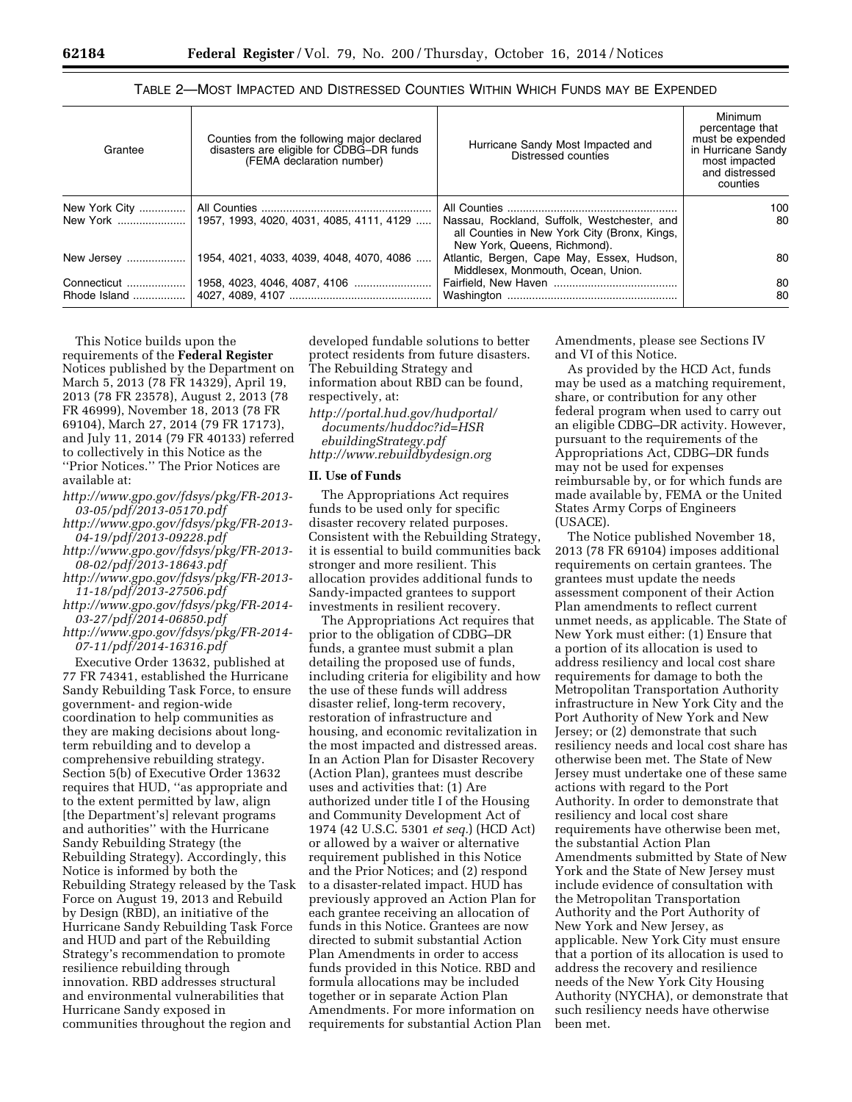| Grantee       | Counties from the following major declared<br>disasters are eligible for CDBG-DR funds<br>(FEMA declaration number) | Hurricane Sandy Most Impacted and<br>Distressed counties                                                                    | Minimum<br>percentage that<br>must be expended<br>in Hurricane Sandy<br>most impacted<br>and distressed<br>counties |
|---------------|---------------------------------------------------------------------------------------------------------------------|-----------------------------------------------------------------------------------------------------------------------------|---------------------------------------------------------------------------------------------------------------------|
| New York City |                                                                                                                     |                                                                                                                             | 100                                                                                                                 |
|               |                                                                                                                     | Nassau, Rockland, Suffolk, Westchester, and<br>all Counties in New York City (Bronx, Kings,<br>New York, Queens, Richmond). | 80                                                                                                                  |
| New Jersey    | 1954, 4021, 4033, 4039, 4048, 4070, 4086                                                                            | Atlantic, Bergen, Cape May, Essex, Hudson,<br>Middlesex, Monmouth, Ocean, Union.                                            | 80                                                                                                                  |
| Connecticut   |                                                                                                                     |                                                                                                                             | 80                                                                                                                  |
| Rhode Island  |                                                                                                                     |                                                                                                                             | 80                                                                                                                  |

# TABLE 2—MOST IMPACTED AND DISTRESSED COUNTIES WITHIN WHICH FUNDS MAY BE EXPENDED

This Notice builds upon the requirements of the **Federal Register**  Notices published by the Department on March 5, 2013 (78 FR 14329), April 19, 2013 (78 FR 23578), August 2, 2013 (78 FR 46999), November 18, 2013 (78 FR 69104), March 27, 2014 (79 FR 17173), and July 11, 2014 (79 FR 40133) referred to collectively in this Notice as the ''Prior Notices.'' The Prior Notices are available at:

- *[http://www.gpo.gov/fdsys/pkg/FR-2013-](http://www.gpo.gov/fdsys/pkg/FR-2013-03-05/pdf/2013-05170.pdf)  [03-05/pdf/2013-05170.pdf](http://www.gpo.gov/fdsys/pkg/FR-2013-03-05/pdf/2013-05170.pdf)*
- *[http://www.gpo.gov/fdsys/pkg/FR-2013-](http://www.gpo.gov/fdsys/pkg/FR-2013-04-19/pdf/2013-09228.pdf)  [04-19/pdf/2013-09228.pdf](http://www.gpo.gov/fdsys/pkg/FR-2013-04-19/pdf/2013-09228.pdf)*
- *[http://www.gpo.gov/fdsys/pkg/FR-2013-](http://www.gpo.gov/fdsys/pkg/FR-2013-08-02/pdf/2013-18643.pdf)  [08-02/pdf/2013-18643.pdf](http://www.gpo.gov/fdsys/pkg/FR-2013-08-02/pdf/2013-18643.pdf)*
- *[http://www.gpo.gov/fdsys/pkg/FR-2013-](http://www.gpo.gov/fdsys/pkg/FR-2013-11-18/pdf/2013-27506.pdf)  [11-18/pdf/2013-27506.pdf](http://www.gpo.gov/fdsys/pkg/FR-2013-11-18/pdf/2013-27506.pdf)*
- *[http://www.gpo.gov/fdsys/pkg/FR-2014-](http://www.gpo.gov/fdsys/pkg/FR-2014-03-27/pdf/2014-06850.pdf)  [03-27/pdf/2014-06850.pdf](http://www.gpo.gov/fdsys/pkg/FR-2014-03-27/pdf/2014-06850.pdf)*
- *[http://www.gpo.gov/fdsys/pkg/FR-2014-](http://www.gpo.gov/fdsys/pkg/FR-2014-07-11/pdf/2014-16316.pdf)  [07-11/pdf/2014-16316.pdf](http://www.gpo.gov/fdsys/pkg/FR-2014-07-11/pdf/2014-16316.pdf)*

Executive Order 13632, published at 77 FR 74341, established the Hurricane Sandy Rebuilding Task Force, to ensure government- and region-wide coordination to help communities as they are making decisions about longterm rebuilding and to develop a comprehensive rebuilding strategy. Section 5(b) of Executive Order 13632 requires that HUD, ''as appropriate and to the extent permitted by law, align [the Department's] relevant programs and authorities'' with the Hurricane Sandy Rebuilding Strategy (the Rebuilding Strategy). Accordingly, this Notice is informed by both the Rebuilding Strategy released by the Task Force on August 19, 2013 and Rebuild by Design (RBD), an initiative of the Hurricane Sandy Rebuilding Task Force and HUD and part of the Rebuilding Strategy's recommendation to promote resilience rebuilding through innovation. RBD addresses structural and environmental vulnerabilities that Hurricane Sandy exposed in communities throughout the region and

developed fundable solutions to better protect residents from future disasters. The Rebuilding Strategy and information about RBD can be found, respectively, at:

*[http://portal.hud.gov/hudportal/](http://portal.hud.gov/hudportal/documents/huddoc?id=HSRebuildingStrategy.pdf) [documents/huddoc?id=HSR](http://portal.hud.gov/hudportal/documents/huddoc?id=HSRebuildingStrategy.pdf) [ebuildingStrategy.pdf](http://portal.hud.gov/hudportal/documents/huddoc?id=HSRebuildingStrategy.pdf)  <http://www.rebuildbydesign.org>* 

#### **II. Use of Funds**

The Appropriations Act requires funds to be used only for specific disaster recovery related purposes. Consistent with the Rebuilding Strategy, it is essential to build communities back stronger and more resilient. This allocation provides additional funds to Sandy-impacted grantees to support investments in resilient recovery.

The Appropriations Act requires that prior to the obligation of CDBG–DR funds, a grantee must submit a plan detailing the proposed use of funds, including criteria for eligibility and how the use of these funds will address disaster relief, long-term recovery, restoration of infrastructure and housing, and economic revitalization in the most impacted and distressed areas. In an Action Plan for Disaster Recovery (Action Plan), grantees must describe uses and activities that: (1) Are authorized under title I of the Housing and Community Development Act of 1974 (42 U.S.C. 5301 *et seq.*) (HCD Act) or allowed by a waiver or alternative requirement published in this Notice and the Prior Notices; and (2) respond to a disaster-related impact. HUD has previously approved an Action Plan for each grantee receiving an allocation of funds in this Notice. Grantees are now directed to submit substantial Action Plan Amendments in order to access funds provided in this Notice. RBD and formula allocations may be included together or in separate Action Plan Amendments. For more information on requirements for substantial Action Plan

Amendments, please see Sections IV and VI of this Notice.

As provided by the HCD Act, funds may be used as a matching requirement, share, or contribution for any other federal program when used to carry out an eligible CDBG–DR activity. However, pursuant to the requirements of the Appropriations Act, CDBG–DR funds may not be used for expenses reimbursable by, or for which funds are made available by, FEMA or the United States Army Corps of Engineers (USACE).

The Notice published November 18, 2013 (78 FR 69104) imposes additional requirements on certain grantees. The grantees must update the needs assessment component of their Action Plan amendments to reflect current unmet needs, as applicable. The State of New York must either: (1) Ensure that a portion of its allocation is used to address resiliency and local cost share requirements for damage to both the Metropolitan Transportation Authority infrastructure in New York City and the Port Authority of New York and New Jersey; or (2) demonstrate that such resiliency needs and local cost share has otherwise been met. The State of New Jersey must undertake one of these same actions with regard to the Port Authority. In order to demonstrate that resiliency and local cost share requirements have otherwise been met, the substantial Action Plan Amendments submitted by State of New York and the State of New Jersey must include evidence of consultation with the Metropolitan Transportation Authority and the Port Authority of New York and New Jersey, as applicable. New York City must ensure that a portion of its allocation is used to address the recovery and resilience needs of the New York City Housing Authority (NYCHA), or demonstrate that such resiliency needs have otherwise been met.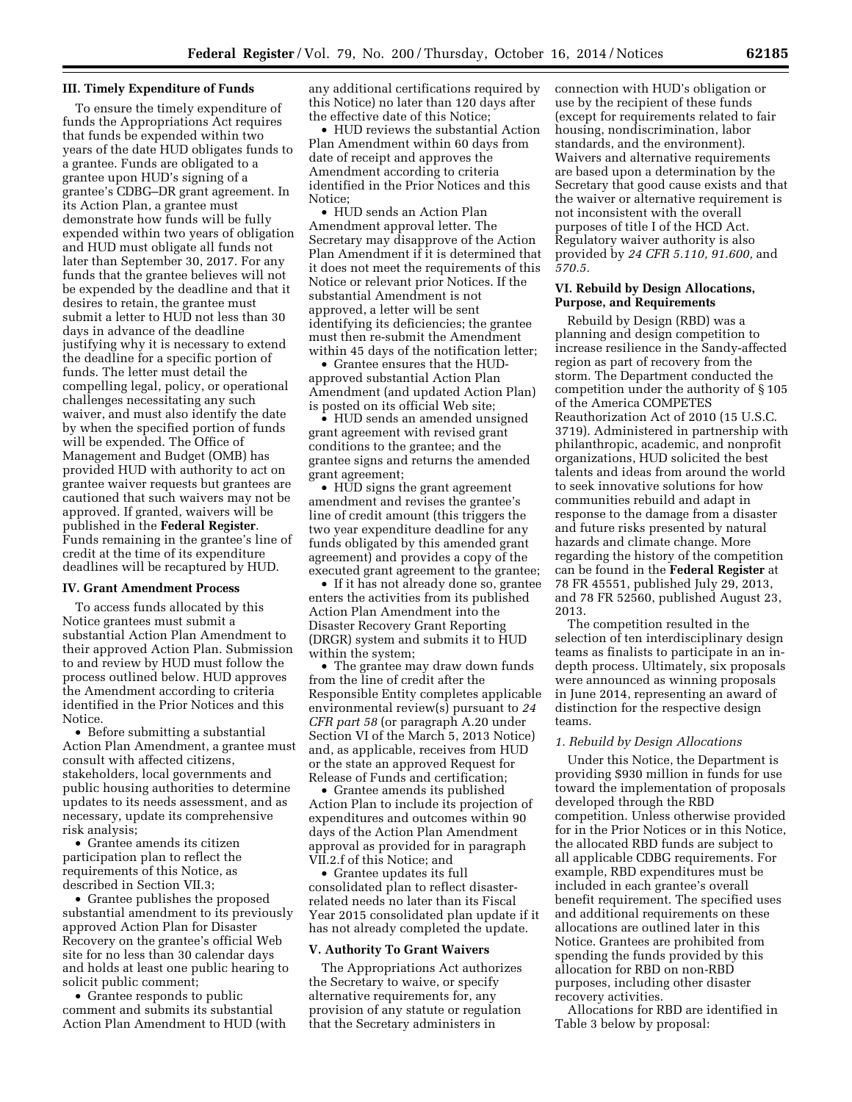### **III. Timely Expenditure of Funds**

To ensure the timely expenditure of funds the Appropriations Act requires that funds be expended within two years of the date HUD obligates funds to a grantee. Funds are obligated to a grantee upon HUD's signing of a grantee's CDBG–DR grant agreement. In its Action Plan, a grantee must demonstrate how funds will be fully expended within two years of obligation and HUD must obligate all funds not later than September 30, 2017. For any funds that the grantee believes will not be expended by the deadline and that it desires to retain, the grantee must submit a letter to HUD not less than 30 days in advance of the deadline justifying why it is necessary to extend the deadline for a specific portion of funds. The letter must detail the compelling legal, policy, or operational challenges necessitating any such waiver, and must also identify the date by when the specified portion of funds will be expended. The Office of Management and Budget (OMB) has provided HUD with authority to act on grantee waiver requests but grantees are cautioned that such waivers may not be approved. If granted, waivers will be published in the **Federal Register**. Funds remaining in the grantee's line of credit at the time of its expenditure deadlines will be recaptured by HUD.

# **IV. Grant Amendment Process**

To access funds allocated by this Notice grantees must submit a substantial Action Plan Amendment to their approved Action Plan. Submission to and review by HUD must follow the process outlined below. HUD approves the Amendment according to criteria identified in the Prior Notices and this Notice.

• Before submitting a substantial Action Plan Amendment, a grantee must consult with affected citizens, stakeholders, local governments and public housing authorities to determine updates to its needs assessment, and as necessary, update its comprehensive risk analysis;

• Grantee amends its citizen participation plan to reflect the requirements of this Notice, as described in Section VII.3;

• Grantee publishes the proposed substantial amendment to its previously approved Action Plan for Disaster Recovery on the grantee's official Web site for no less than 30 calendar days and holds at least one public hearing to solicit public comment;

• Grantee responds to public comment and submits its substantial Action Plan Amendment to HUD (with any additional certifications required by this Notice) no later than 120 days after the effective date of this Notice;

• HUD reviews the substantial Action Plan Amendment within 60 days from date of receipt and approves the Amendment according to criteria identified in the Prior Notices and this Notice;

• HUD sends an Action Plan Amendment approval letter. The Secretary may disapprove of the Action Plan Amendment if it is determined that it does not meet the requirements of this Notice or relevant prior Notices. If the substantial Amendment is not approved, a letter will be sent identifying its deficiencies; the grantee must then re-submit the Amendment within 45 days of the notification letter;

• Grantee ensures that the HUDapproved substantial Action Plan Amendment (and updated Action Plan) is posted on its official Web site;

• HUD sends an amended unsigned grant agreement with revised grant conditions to the grantee; and the grantee signs and returns the amended grant agreement;

• HUD signs the grant agreement amendment and revises the grantee's line of credit amount (this triggers the two year expenditure deadline for any funds obligated by this amended grant agreement) and provides a copy of the executed grant agreement to the grantee;

• If it has not already done so, grantee enters the activities from its published Action Plan Amendment into the Disaster Recovery Grant Reporting (DRGR) system and submits it to HUD within the system;

• The grantee may draw down funds from the line of credit after the Responsible Entity completes applicable environmental review(s) pursuant to *24 CFR part 58* (or paragraph A.20 under Section VI of the March 5, 2013 Notice) and, as applicable, receives from HUD or the state an approved Request for Release of Funds and certification;

• Grantee amends its published Action Plan to include its projection of expenditures and outcomes within 90 days of the Action Plan Amendment approval as provided for in paragraph VII.2.f of this Notice; and

• Grantee updates its full consolidated plan to reflect disasterrelated needs no later than its Fiscal Year 2015 consolidated plan update if it has not already completed the update.

#### **V. Authority To Grant Waivers**

The Appropriations Act authorizes the Secretary to waive, or specify alternative requirements for, any provision of any statute or regulation that the Secretary administers in

connection with HUD's obligation or use by the recipient of these funds (except for requirements related to fair housing, nondiscrimination, labor standards, and the environment). Waivers and alternative requirements are based upon a determination by the Secretary that good cause exists and that the waiver or alternative requirement is not inconsistent with the overall purposes of title I of the HCD Act. Regulatory waiver authority is also provided by *24 CFR 5.110, 91.600,* and *570.5.* 

# **VI. Rebuild by Design Allocations, Purpose, and Requirements**

Rebuild by Design (RBD) was a planning and design competition to increase resilience in the Sandy-affected region as part of recovery from the storm. The Department conducted the competition under the authority of § 105 of the America COMPETES Reauthorization Act of 2010 (15 U.S.C. 3719). Administered in partnership with philanthropic, academic, and nonprofit organizations, HUD solicited the best talents and ideas from around the world to seek innovative solutions for how communities rebuild and adapt in response to the damage from a disaster and future risks presented by natural hazards and climate change. More regarding the history of the competition can be found in the **Federal Register** at 78 FR 45551, published July 29, 2013, and 78 FR 52560, published August 23, 2013.

The competition resulted in the selection of ten interdisciplinary design teams as finalists to participate in an indepth process. Ultimately, six proposals were announced as winning proposals in June 2014, representing an award of distinction for the respective design teams.

### *1. Rebuild by Design Allocations*

Under this Notice, the Department is providing \$930 million in funds for use toward the implementation of proposals developed through the RBD competition. Unless otherwise provided for in the Prior Notices or in this Notice, the allocated RBD funds are subject to all applicable CDBG requirements. For example, RBD expenditures must be included in each grantee's overall benefit requirement. The specified uses and additional requirements on these allocations are outlined later in this Notice. Grantees are prohibited from spending the funds provided by this allocation for RBD on non-RBD purposes, including other disaster recovery activities.

Allocations for RBD are identified in Table 3 below by proposal: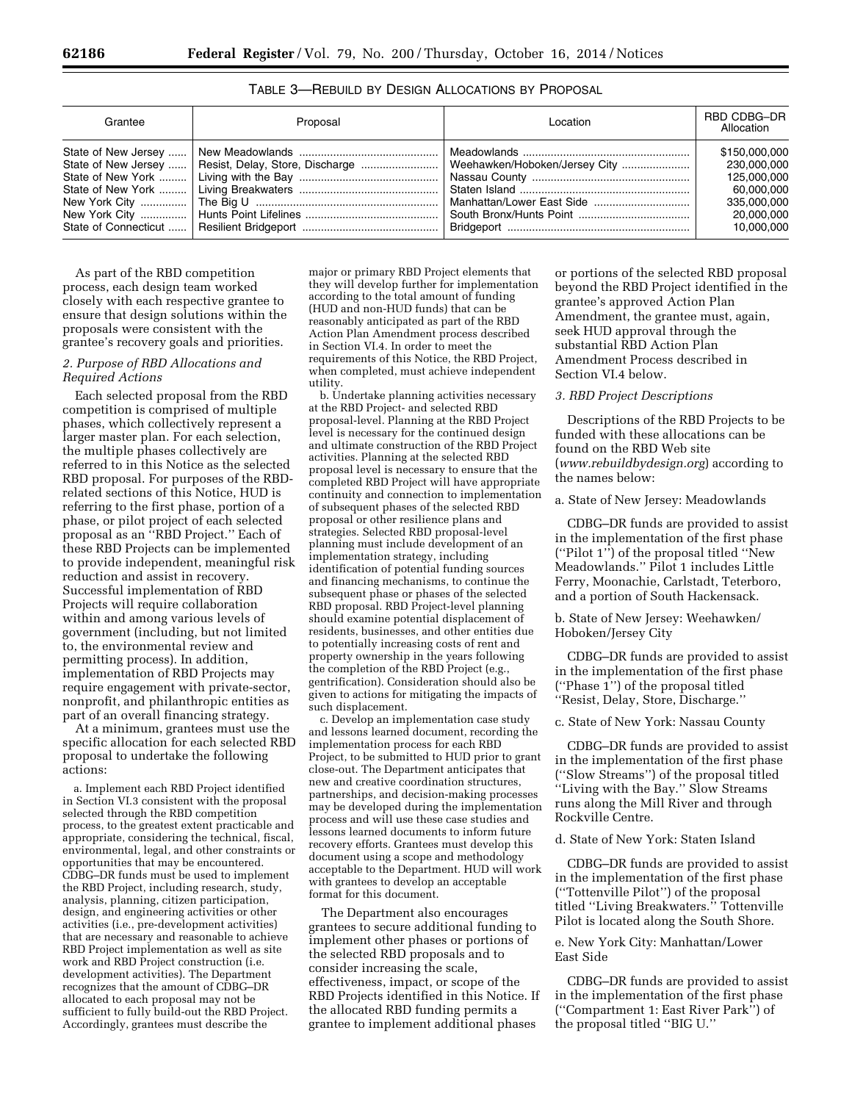| Grantee | Proposal                                               | Location | RBD CDBG-DR<br>Allocation |
|---------|--------------------------------------------------------|----------|---------------------------|
|         |                                                        |          | \$150,000,000             |
|         | State of New Jersey    Resist, Delay, Store, Discharge |          | 230.000.000               |
|         |                                                        |          | 125.000.000               |
|         |                                                        |          | 60.000.000                |
|         |                                                        |          | 335.000.000               |
|         |                                                        |          | 20.000.000                |
|         |                                                        |          | 10,000,000                |

TABLE 3—REBUILD BY DESIGN ALLOCATIONS BY PROPOSAL

As part of the RBD competition process, each design team worked closely with each respective grantee to ensure that design solutions within the proposals were consistent with the grantee's recovery goals and priorities.

# *2. Purpose of RBD Allocations and Required Actions*

Each selected proposal from the RBD competition is comprised of multiple phases, which collectively represent a larger master plan. For each selection, the multiple phases collectively are referred to in this Notice as the selected RBD proposal. For purposes of the RBDrelated sections of this Notice, HUD is referring to the first phase, portion of a phase, or pilot project of each selected proposal as an ''RBD Project.'' Each of these RBD Projects can be implemented to provide independent, meaningful risk reduction and assist in recovery. Successful implementation of RBD Projects will require collaboration within and among various levels of government (including, but not limited to, the environmental review and permitting process). In addition, implementation of RBD Projects may require engagement with private-sector, nonprofit, and philanthropic entities as part of an overall financing strategy.

At a minimum, grantees must use the specific allocation for each selected RBD proposal to undertake the following actions:

a. Implement each RBD Project identified in Section VI.3 consistent with the proposal selected through the RBD competition process, to the greatest extent practicable and appropriate, considering the technical, fiscal, environmental, legal, and other constraints or opportunities that may be encountered. CDBG–DR funds must be used to implement the RBD Project, including research, study, analysis, planning, citizen participation, design, and engineering activities or other activities (i.e., pre-development activities) that are necessary and reasonable to achieve RBD Project implementation as well as site work and RBD Project construction (i.e. development activities). The Department recognizes that the amount of CDBG–DR allocated to each proposal may not be sufficient to fully build-out the RBD Project. Accordingly, grantees must describe the

major or primary RBD Project elements that they will develop further for implementation according to the total amount of funding (HUD and non-HUD funds) that can be reasonably anticipated as part of the RBD Action Plan Amendment process described in Section VI.4. In order to meet the requirements of this Notice, the RBD Project, when completed, must achieve independent utility.

b. Undertake planning activities necessary at the RBD Project- and selected RBD proposal-level. Planning at the RBD Project level is necessary for the continued design and ultimate construction of the RBD Project activities. Planning at the selected RBD proposal level is necessary to ensure that the completed RBD Project will have appropriate continuity and connection to implementation of subsequent phases of the selected RBD proposal or other resilience plans and strategies. Selected RBD proposal-level planning must include development of an implementation strategy, including identification of potential funding sources and financing mechanisms, to continue the subsequent phase or phases of the selected RBD proposal. RBD Project-level planning should examine potential displacement of residents, businesses, and other entities due to potentially increasing costs of rent and property ownership in the years following the completion of the RBD Project (e.g., gentrification). Consideration should also be given to actions for mitigating the impacts of such displacement.

c. Develop an implementation case study and lessons learned document, recording the implementation process for each RBD Project, to be submitted to HUD prior to grant close-out. The Department anticipates that new and creative coordination structures, partnerships, and decision-making processes may be developed during the implementation process and will use these case studies and lessons learned documents to inform future recovery efforts. Grantees must develop this document using a scope and methodology acceptable to the Department. HUD will work with grantees to develop an acceptable format for this document.

The Department also encourages grantees to secure additional funding to implement other phases or portions of the selected RBD proposals and to consider increasing the scale, effectiveness, impact, or scope of the RBD Projects identified in this Notice. If the allocated RBD funding permits a grantee to implement additional phases

or portions of the selected RBD proposal beyond the RBD Project identified in the grantee's approved Action Plan Amendment, the grantee must, again, seek HUD approval through the substantial RBD Action Plan Amendment Process described in Section VI.4 below.

# *3. RBD Project Descriptions*

Descriptions of the RBD Projects to be funded with these allocations can be found on the RBD Web site (*[www.rebuildbydesign.org](http://www.rebuildbydesign.org)*) according to the names below:

#### a. State of New Jersey: Meadowlands

CDBG–DR funds are provided to assist in the implementation of the first phase (''Pilot 1'') of the proposal titled ''New Meadowlands.'' Pilot 1 includes Little Ferry, Moonachie, Carlstadt, Teterboro, and a portion of South Hackensack.

# b. State of New Jersey: Weehawken/ Hoboken/Jersey City

CDBG–DR funds are provided to assist in the implementation of the first phase (''Phase 1'') of the proposal titled ''Resist, Delay, Store, Discharge.''

# c. State of New York: Nassau County

CDBG–DR funds are provided to assist in the implementation of the first phase (''Slow Streams'') of the proposal titled ''Living with the Bay.'' Slow Streams runs along the Mill River and through Rockville Centre.

### d. State of New York: Staten Island

CDBG–DR funds are provided to assist in the implementation of the first phase (''Tottenville Pilot'') of the proposal titled ''Living Breakwaters.'' Tottenville Pilot is located along the South Shore.

# e. New York City: Manhattan/Lower East Side

CDBG–DR funds are provided to assist in the implementation of the first phase (''Compartment 1: East River Park'') of the proposal titled ''BIG U.''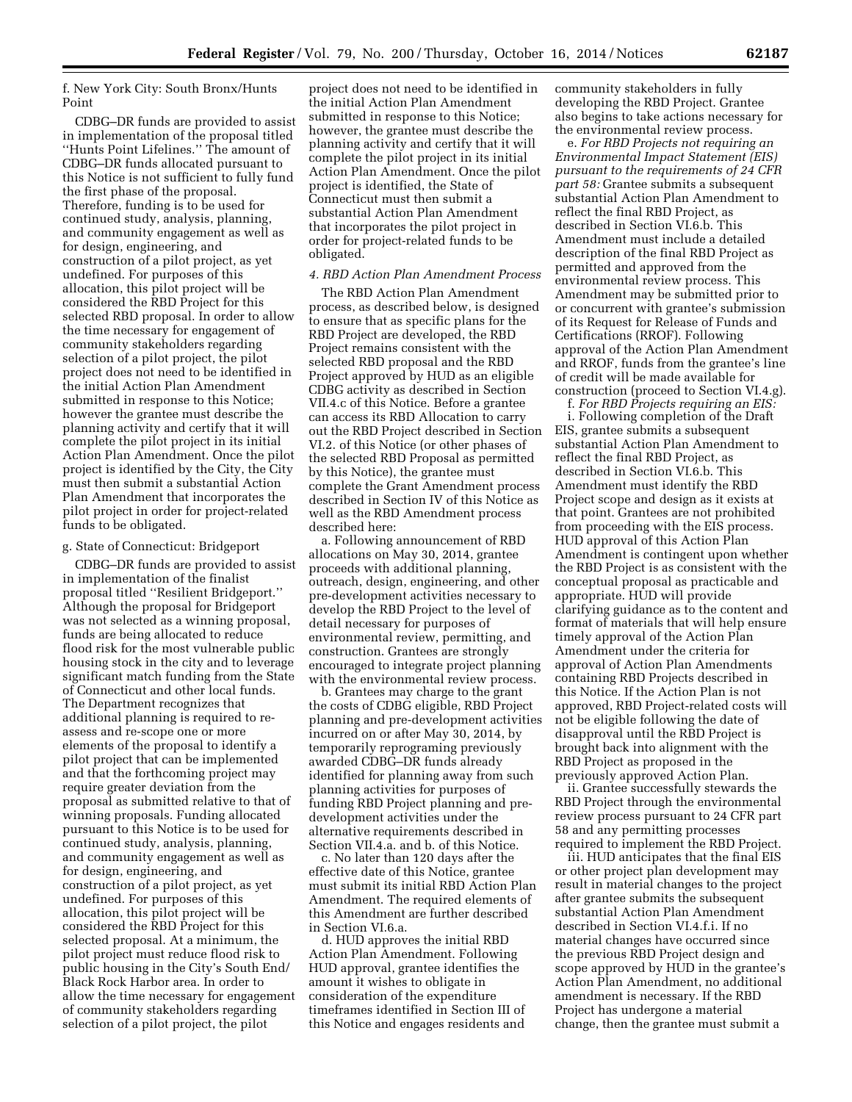f. New York City: South Bronx/Hunts Point

CDBG–DR funds are provided to assist in implementation of the proposal titled ''Hunts Point Lifelines.'' The amount of CDBG–DR funds allocated pursuant to this Notice is not sufficient to fully fund the first phase of the proposal. Therefore, funding is to be used for continued study, analysis, planning, and community engagement as well as for design, engineering, and construction of a pilot project, as yet undefined. For purposes of this allocation, this pilot project will be considered the RBD Project for this selected RBD proposal. In order to allow the time necessary for engagement of community stakeholders regarding selection of a pilot project, the pilot project does not need to be identified in the initial Action Plan Amendment submitted in response to this Notice; however the grantee must describe the planning activity and certify that it will complete the pilot project in its initial Action Plan Amendment. Once the pilot project is identified by the City, the City must then submit a substantial Action Plan Amendment that incorporates the pilot project in order for project-related funds to be obligated.

#### g. State of Connecticut: Bridgeport

CDBG–DR funds are provided to assist in implementation of the finalist proposal titled ''Resilient Bridgeport.'' Although the proposal for Bridgeport was not selected as a winning proposal, funds are being allocated to reduce flood risk for the most vulnerable public housing stock in the city and to leverage significant match funding from the State of Connecticut and other local funds. The Department recognizes that additional planning is required to reassess and re-scope one or more elements of the proposal to identify a pilot project that can be implemented and that the forthcoming project may require greater deviation from the proposal as submitted relative to that of winning proposals. Funding allocated pursuant to this Notice is to be used for continued study, analysis, planning, and community engagement as well as for design, engineering, and construction of a pilot project, as yet undefined. For purposes of this allocation, this pilot project will be considered the RBD Project for this selected proposal. At a minimum, the pilot project must reduce flood risk to public housing in the City's South End/ Black Rock Harbor area. In order to allow the time necessary for engagement of community stakeholders regarding selection of a pilot project, the pilot

project does not need to be identified in the initial Action Plan Amendment submitted in response to this Notice; however, the grantee must describe the planning activity and certify that it will complete the pilot project in its initial Action Plan Amendment. Once the pilot project is identified, the State of Connecticut must then submit a substantial Action Plan Amendment that incorporates the pilot project in order for project-related funds to be obligated.

### *4. RBD Action Plan Amendment Process*

The RBD Action Plan Amendment process, as described below, is designed to ensure that as specific plans for the RBD Project are developed, the RBD Project remains consistent with the selected RBD proposal and the RBD Project approved by HUD as an eligible CDBG activity as described in Section VII.4.c of this Notice. Before a grantee can access its RBD Allocation to carry out the RBD Project described in Section VI.2. of this Notice (or other phases of the selected RBD Proposal as permitted by this Notice), the grantee must complete the Grant Amendment process described in Section IV of this Notice as well as the RBD Amendment process described here:

a. Following announcement of RBD allocations on May 30, 2014, grantee proceeds with additional planning, outreach, design, engineering, and other pre-development activities necessary to develop the RBD Project to the level of detail necessary for purposes of environmental review, permitting, and construction. Grantees are strongly encouraged to integrate project planning with the environmental review process.

b. Grantees may charge to the grant the costs of CDBG eligible, RBD Project planning and pre-development activities incurred on or after May 30, 2014, by temporarily reprograming previously awarded CDBG–DR funds already identified for planning away from such planning activities for purposes of funding RBD Project planning and predevelopment activities under the alternative requirements described in Section VII.4.a. and b. of this Notice.

c. No later than 120 days after the effective date of this Notice, grantee must submit its initial RBD Action Plan Amendment. The required elements of this Amendment are further described in Section VI.6.a.

d. HUD approves the initial RBD Action Plan Amendment. Following HUD approval, grantee identifies the amount it wishes to obligate in consideration of the expenditure timeframes identified in Section III of this Notice and engages residents and

community stakeholders in fully developing the RBD Project. Grantee also begins to take actions necessary for the environmental review process.

e. *For RBD Projects not requiring an Environmental Impact Statement (EIS) pursuant to the requirements of 24 CFR part 58:* Grantee submits a subsequent substantial Action Plan Amendment to reflect the final RBD Project, as described in Section VI.6.b. This Amendment must include a detailed description of the final RBD Project as permitted and approved from the environmental review process. This Amendment may be submitted prior to or concurrent with grantee's submission of its Request for Release of Funds and Certifications (RROF). Following approval of the Action Plan Amendment and RROF, funds from the grantee's line of credit will be made available for construction (proceed to Section VI.4.g).

f. *For RBD Projects requiring an EIS:*  i. Following completion of the Draft EIS, grantee submits a subsequent substantial Action Plan Amendment to reflect the final RBD Project, as described in Section VI.6.b. This Amendment must identify the RBD Project scope and design as it exists at that point. Grantees are not prohibited from proceeding with the EIS process. HUD approval of this Action Plan Amendment is contingent upon whether the RBD Project is as consistent with the conceptual proposal as practicable and appropriate. HUD will provide clarifying guidance as to the content and format of materials that will help ensure timely approval of the Action Plan Amendment under the criteria for approval of Action Plan Amendments containing RBD Projects described in this Notice. If the Action Plan is not approved, RBD Project-related costs will not be eligible following the date of disapproval until the RBD Project is brought back into alignment with the RBD Project as proposed in the previously approved Action Plan.

ii. Grantee successfully stewards the RBD Project through the environmental review process pursuant to 24 CFR part 58 and any permitting processes required to implement the RBD Project.

iii. HUD anticipates that the final EIS or other project plan development may result in material changes to the project after grantee submits the subsequent substantial Action Plan Amendment described in Section VI.4.f.i. If no material changes have occurred since the previous RBD Project design and scope approved by HUD in the grantee's Action Plan Amendment, no additional amendment is necessary. If the RBD Project has undergone a material change, then the grantee must submit a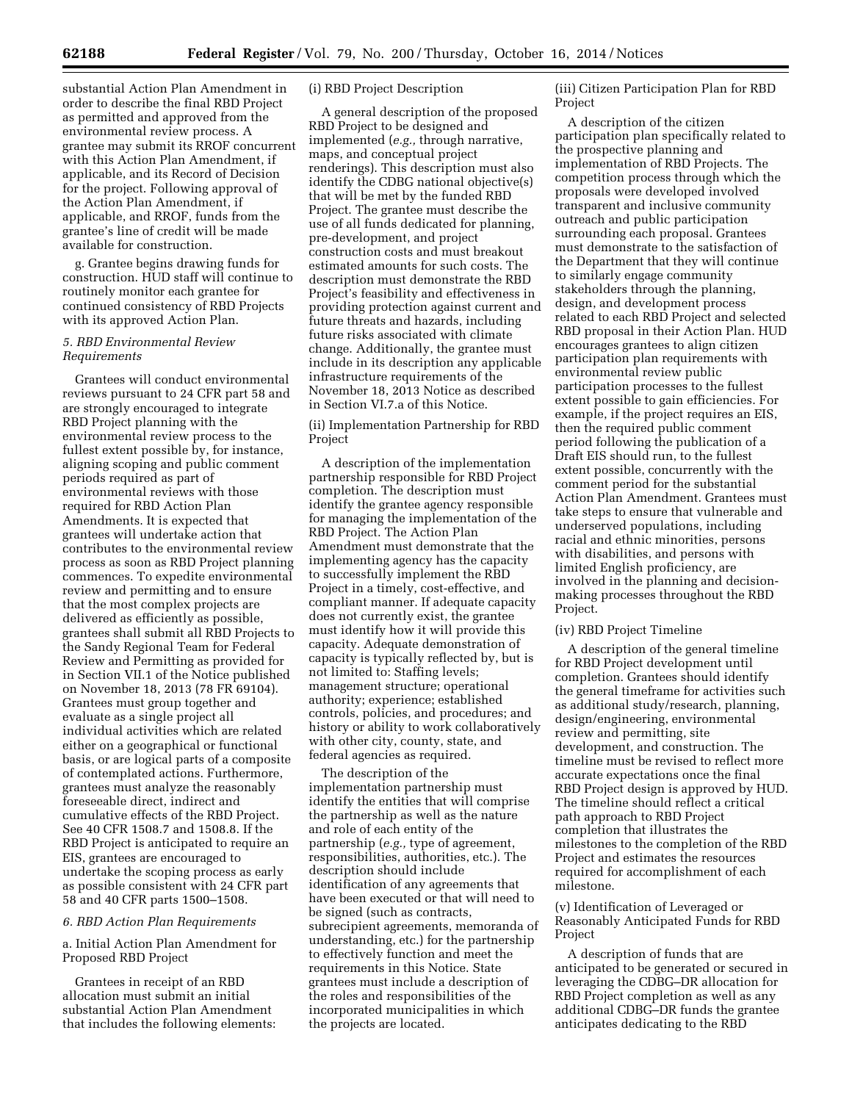substantial Action Plan Amendment in order to describe the final RBD Project as permitted and approved from the environmental review process. A grantee may submit its RROF concurrent with this Action Plan Amendment, if applicable, and its Record of Decision for the project. Following approval of the Action Plan Amendment, if applicable, and RROF, funds from the grantee's line of credit will be made available for construction.

g. Grantee begins drawing funds for construction. HUD staff will continue to routinely monitor each grantee for continued consistency of RBD Projects with its approved Action Plan.

# *5. RBD Environmental Review Requirements*

Grantees will conduct environmental reviews pursuant to 24 CFR part 58 and are strongly encouraged to integrate RBD Project planning with the environmental review process to the fullest extent possible by, for instance, aligning scoping and public comment periods required as part of environmental reviews with those required for RBD Action Plan Amendments. It is expected that grantees will undertake action that contributes to the environmental review process as soon as RBD Project planning commences. To expedite environmental review and permitting and to ensure that the most complex projects are delivered as efficiently as possible, grantees shall submit all RBD Projects to the Sandy Regional Team for Federal Review and Permitting as provided for in Section VII.1 of the Notice published on November 18, 2013 (78 FR 69104). Grantees must group together and evaluate as a single project all individual activities which are related either on a geographical or functional basis, or are logical parts of a composite of contemplated actions. Furthermore, grantees must analyze the reasonably foreseeable direct, indirect and cumulative effects of the RBD Project. See 40 CFR 1508.7 and 1508.8. If the RBD Project is anticipated to require an EIS, grantees are encouraged to undertake the scoping process as early as possible consistent with 24 CFR part 58 and 40 CFR parts 1500–1508.

### *6. RBD Action Plan Requirements*

# a. Initial Action Plan Amendment for Proposed RBD Project

Grantees in receipt of an RBD allocation must submit an initial substantial Action Plan Amendment that includes the following elements:

# (i) RBD Project Description

A general description of the proposed RBD Project to be designed and implemented (*e.g.,* through narrative, maps, and conceptual project renderings). This description must also identify the CDBG national objective(s) that will be met by the funded RBD Project. The grantee must describe the use of all funds dedicated for planning, pre-development, and project construction costs and must breakout estimated amounts for such costs. The description must demonstrate the RBD Project's feasibility and effectiveness in providing protection against current and future threats and hazards, including future risks associated with climate change. Additionally, the grantee must include in its description any applicable infrastructure requirements of the November 18, 2013 Notice as described in Section VI.7.a of this Notice.

(ii) Implementation Partnership for RBD Project

A description of the implementation partnership responsible for RBD Project completion. The description must identify the grantee agency responsible for managing the implementation of the RBD Project. The Action Plan Amendment must demonstrate that the implementing agency has the capacity to successfully implement the RBD Project in a timely, cost-effective, and compliant manner. If adequate capacity does not currently exist, the grantee must identify how it will provide this capacity. Adequate demonstration of capacity is typically reflected by, but is not limited to: Staffing levels; management structure; operational authority; experience; established controls, policies, and procedures; and history or ability to work collaboratively with other city, county, state, and federal agencies as required.

The description of the implementation partnership must identify the entities that will comprise the partnership as well as the nature and role of each entity of the partnership (*e.g.,* type of agreement, responsibilities, authorities, etc.). The description should include identification of any agreements that have been executed or that will need to be signed (such as contracts, subrecipient agreements, memoranda of understanding, etc.) for the partnership to effectively function and meet the requirements in this Notice. State grantees must include a description of the roles and responsibilities of the incorporated municipalities in which the projects are located.

(iii) Citizen Participation Plan for RBD Project

A description of the citizen participation plan specifically related to the prospective planning and implementation of RBD Projects. The competition process through which the proposals were developed involved transparent and inclusive community outreach and public participation surrounding each proposal. Grantees must demonstrate to the satisfaction of the Department that they will continue to similarly engage community stakeholders through the planning, design, and development process related to each RBD Project and selected RBD proposal in their Action Plan. HUD encourages grantees to align citizen participation plan requirements with environmental review public participation processes to the fullest extent possible to gain efficiencies. For example, if the project requires an EIS, then the required public comment period following the publication of a Draft EIS should run, to the fullest extent possible, concurrently with the comment period for the substantial Action Plan Amendment. Grantees must take steps to ensure that vulnerable and underserved populations, including racial and ethnic minorities, persons with disabilities, and persons with limited English proficiency, are involved in the planning and decisionmaking processes throughout the RBD Project.

#### (iv) RBD Project Timeline

A description of the general timeline for RBD Project development until completion. Grantees should identify the general timeframe for activities such as additional study/research, planning, design/engineering, environmental review and permitting, site development, and construction. The timeline must be revised to reflect more accurate expectations once the final RBD Project design is approved by HUD. The timeline should reflect a critical path approach to RBD Project completion that illustrates the milestones to the completion of the RBD Project and estimates the resources required for accomplishment of each milestone.

(v) Identification of Leveraged or Reasonably Anticipated Funds for RBD Project

A description of funds that are anticipated to be generated or secured in leveraging the CDBG–DR allocation for RBD Project completion as well as any additional CDBG–DR funds the grantee anticipates dedicating to the RBD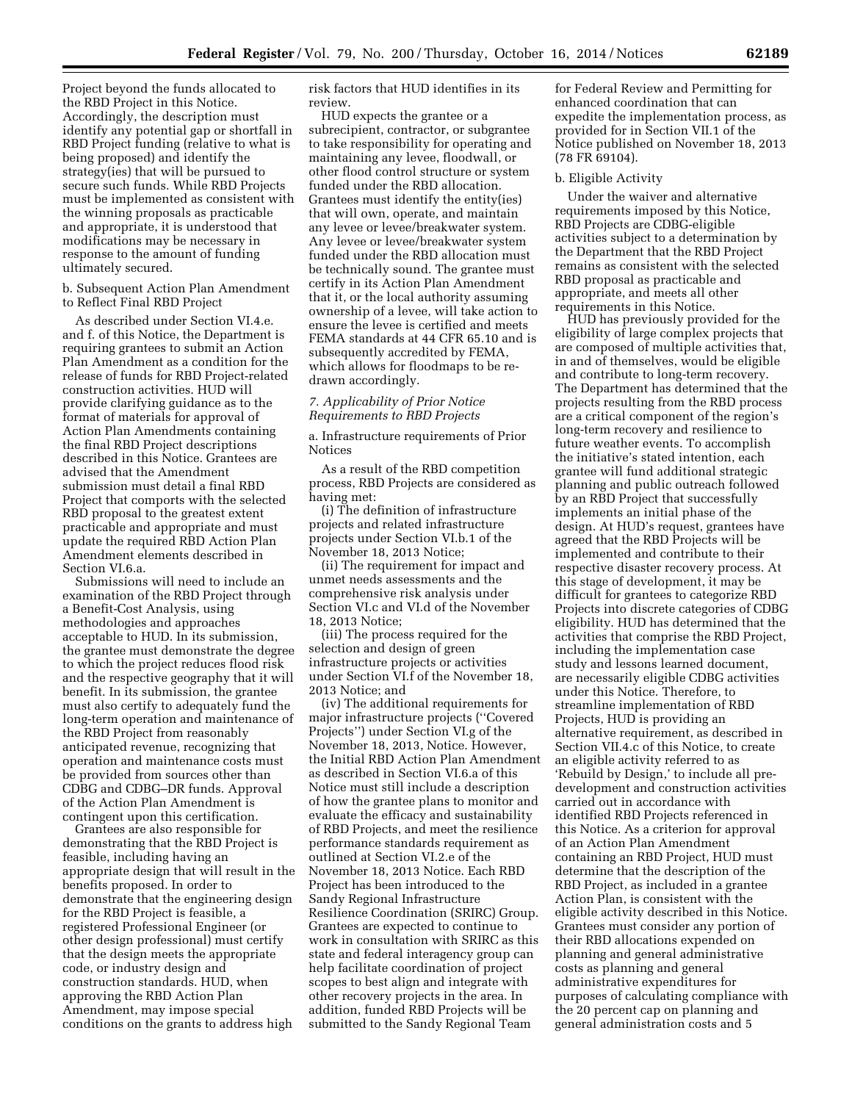Project beyond the funds allocated to the RBD Project in this Notice. Accordingly, the description must identify any potential gap or shortfall in RBD Project funding (relative to what is being proposed) and identify the strategy(ies) that will be pursued to secure such funds. While RBD Projects must be implemented as consistent with the winning proposals as practicable and appropriate, it is understood that modifications may be necessary in response to the amount of funding ultimately secured.

b. Subsequent Action Plan Amendment to Reflect Final RBD Project

As described under Section VI.4.e. and f. of this Notice, the Department is requiring grantees to submit an Action Plan Amendment as a condition for the release of funds for RBD Project-related construction activities. HUD will provide clarifying guidance as to the format of materials for approval of Action Plan Amendments containing the final RBD Project descriptions described in this Notice. Grantees are advised that the Amendment submission must detail a final RBD Project that comports with the selected RBD proposal to the greatest extent practicable and appropriate and must update the required RBD Action Plan Amendment elements described in Section VI.6.a.

Submissions will need to include an examination of the RBD Project through a Benefit-Cost Analysis, using methodologies and approaches acceptable to HUD. In its submission, the grantee must demonstrate the degree to which the project reduces flood risk and the respective geography that it will benefit. In its submission, the grantee must also certify to adequately fund the long-term operation and maintenance of the RBD Project from reasonably anticipated revenue, recognizing that operation and maintenance costs must be provided from sources other than CDBG and CDBG–DR funds. Approval of the Action Plan Amendment is contingent upon this certification.

Grantees are also responsible for demonstrating that the RBD Project is feasible, including having an appropriate design that will result in the benefits proposed. In order to demonstrate that the engineering design for the RBD Project is feasible, a registered Professional Engineer (or other design professional) must certify that the design meets the appropriate code, or industry design and construction standards. HUD, when approving the RBD Action Plan Amendment, may impose special conditions on the grants to address high

risk factors that HUD identifies in its review.

HUD expects the grantee or a subrecipient, contractor, or subgrantee to take responsibility for operating and maintaining any levee, floodwall, or other flood control structure or system funded under the RBD allocation. Grantees must identify the entity(ies) that will own, operate, and maintain any levee or levee/breakwater system. Any levee or levee/breakwater system funded under the RBD allocation must be technically sound. The grantee must certify in its Action Plan Amendment that it, or the local authority assuming ownership of a levee, will take action to ensure the levee is certified and meets FEMA standards at 44 CFR 65.10 and is subsequently accredited by FEMA, which allows for floodmaps to be redrawn accordingly.

### *7. Applicability of Prior Notice Requirements to RBD Projects*

a. Infrastructure requirements of Prior Notices

As a result of the RBD competition process, RBD Projects are considered as having met:

(i) The definition of infrastructure projects and related infrastructure projects under Section VI.b.1 of the November 18, 2013 Notice;

(ii) The requirement for impact and unmet needs assessments and the comprehensive risk analysis under Section VI.c and VI.d of the November 18, 2013 Notice;

(iii) The process required for the selection and design of green infrastructure projects or activities under Section VI.f of the November 18, 2013 Notice; and

(iv) The additional requirements for major infrastructure projects (''Covered Projects'') under Section VI.g of the November 18, 2013, Notice. However, the Initial RBD Action Plan Amendment as described in Section VI.6.a of this Notice must still include a description of how the grantee plans to monitor and evaluate the efficacy and sustainability of RBD Projects, and meet the resilience performance standards requirement as outlined at Section VI.2.e of the November 18, 2013 Notice. Each RBD Project has been introduced to the Sandy Regional Infrastructure Resilience Coordination (SRIRC) Group. Grantees are expected to continue to work in consultation with SRIRC as this state and federal interagency group can help facilitate coordination of project scopes to best align and integrate with other recovery projects in the area. In addition, funded RBD Projects will be submitted to the Sandy Regional Team

for Federal Review and Permitting for enhanced coordination that can expedite the implementation process, as provided for in Section VII.1 of the Notice published on November 18, 2013 (78 FR 69104).

#### b. Eligible Activity

Under the waiver and alternative requirements imposed by this Notice, RBD Projects are CDBG-eligible activities subject to a determination by the Department that the RBD Project remains as consistent with the selected RBD proposal as practicable and appropriate, and meets all other requirements in this Notice.

HUD has previously provided for the eligibility of large complex projects that are composed of multiple activities that, in and of themselves, would be eligible and contribute to long-term recovery. The Department has determined that the projects resulting from the RBD process are a critical component of the region's long-term recovery and resilience to future weather events. To accomplish the initiative's stated intention, each grantee will fund additional strategic planning and public outreach followed by an RBD Project that successfully implements an initial phase of the design. At HUD's request, grantees have agreed that the RBD Projects will be implemented and contribute to their respective disaster recovery process. At this stage of development, it may be difficult for grantees to categorize RBD Projects into discrete categories of CDBG eligibility. HUD has determined that the activities that comprise the RBD Project, including the implementation case study and lessons learned document, are necessarily eligible CDBG activities under this Notice. Therefore, to streamline implementation of RBD Projects, HUD is providing an alternative requirement, as described in Section VII.4.c of this Notice, to create an eligible activity referred to as 'Rebuild by Design,' to include all predevelopment and construction activities carried out in accordance with identified RBD Projects referenced in this Notice. As a criterion for approval of an Action Plan Amendment containing an RBD Project, HUD must determine that the description of the RBD Project, as included in a grantee Action Plan, is consistent with the eligible activity described in this Notice. Grantees must consider any portion of their RBD allocations expended on planning and general administrative costs as planning and general administrative expenditures for purposes of calculating compliance with the 20 percent cap on planning and general administration costs and 5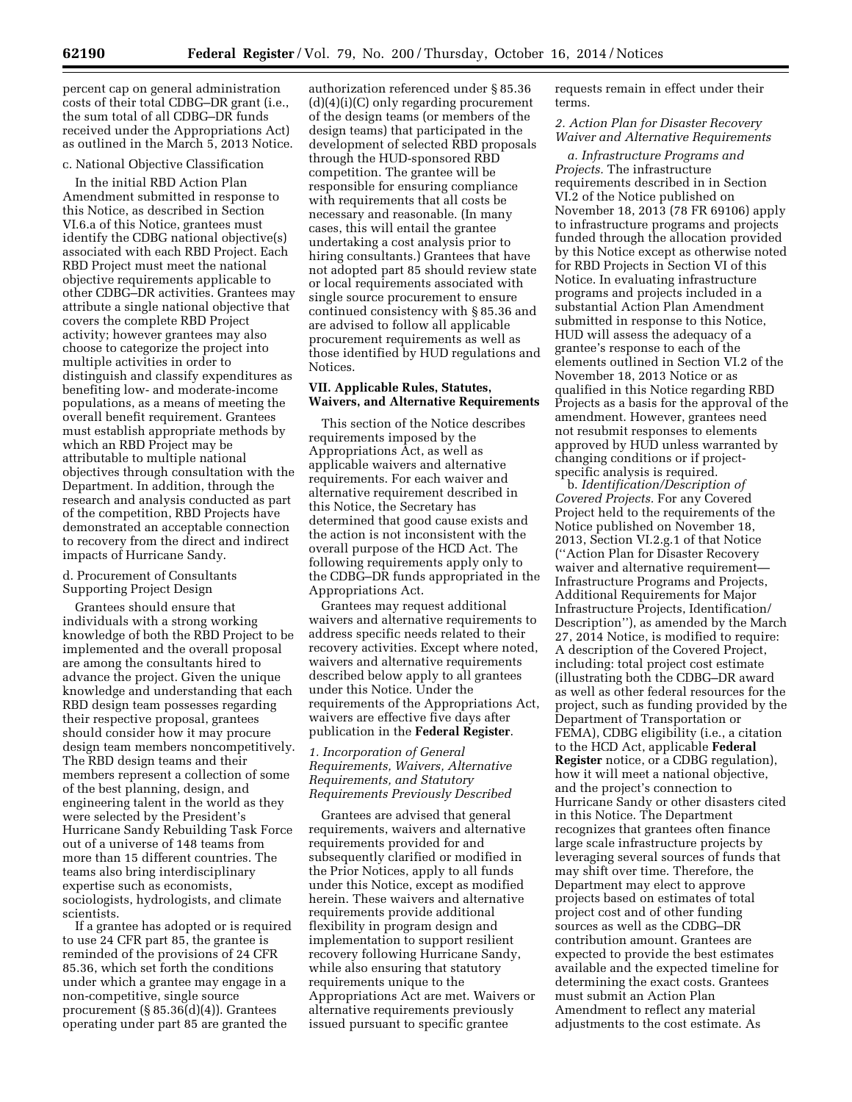percent cap on general administration costs of their total CDBG–DR grant (i.e., the sum total of all CDBG–DR funds received under the Appropriations Act) as outlined in the March 5, 2013 Notice.

# c. National Objective Classification

In the initial RBD Action Plan Amendment submitted in response to this Notice, as described in Section VI.6.a of this Notice, grantees must identify the CDBG national objective(s) associated with each RBD Project. Each RBD Project must meet the national objective requirements applicable to other CDBG–DR activities. Grantees may attribute a single national objective that covers the complete RBD Project activity; however grantees may also choose to categorize the project into multiple activities in order to distinguish and classify expenditures as benefiting low- and moderate-income populations, as a means of meeting the overall benefit requirement. Grantees must establish appropriate methods by which an RBD Project may be attributable to multiple national objectives through consultation with the Department. In addition, through the research and analysis conducted as part of the competition, RBD Projects have demonstrated an acceptable connection to recovery from the direct and indirect impacts of Hurricane Sandy.

# d. Procurement of Consultants Supporting Project Design

Grantees should ensure that individuals with a strong working knowledge of both the RBD Project to be implemented and the overall proposal are among the consultants hired to advance the project. Given the unique knowledge and understanding that each RBD design team possesses regarding their respective proposal, grantees should consider how it may procure design team members noncompetitively. The RBD design teams and their members represent a collection of some of the best planning, design, and engineering talent in the world as they were selected by the President's Hurricane Sandy Rebuilding Task Force out of a universe of 148 teams from more than 15 different countries. The teams also bring interdisciplinary expertise such as economists, sociologists, hydrologists, and climate scientists.

If a grantee has adopted or is required to use 24 CFR part 85, the grantee is reminded of the provisions of 24 CFR 85.36, which set forth the conditions under which a grantee may engage in a non-competitive, single source procurement (§ 85.36(d)(4)). Grantees operating under part 85 are granted the

authorization referenced under § 85.36 (d)(4)(i)(C) only regarding procurement of the design teams (or members of the design teams) that participated in the development of selected RBD proposals through the HUD-sponsored RBD competition. The grantee will be responsible for ensuring compliance with requirements that all costs be necessary and reasonable. (In many cases, this will entail the grantee undertaking a cost analysis prior to hiring consultants.) Grantees that have not adopted part 85 should review state or local requirements associated with single source procurement to ensure continued consistency with § 85.36 and are advised to follow all applicable procurement requirements as well as those identified by HUD regulations and Notices.

## **VII. Applicable Rules, Statutes, Waivers, and Alternative Requirements**

This section of the Notice describes requirements imposed by the Appropriations Act, as well as applicable waivers and alternative requirements. For each waiver and alternative requirement described in this Notice, the Secretary has determined that good cause exists and the action is not inconsistent with the overall purpose of the HCD Act. The following requirements apply only to the CDBG–DR funds appropriated in the Appropriations Act.

Grantees may request additional waivers and alternative requirements to address specific needs related to their recovery activities. Except where noted, waivers and alternative requirements described below apply to all grantees under this Notice. Under the requirements of the Appropriations Act, waivers are effective five days after publication in the **Federal Register**.

# *1. Incorporation of General Requirements, Waivers, Alternative Requirements, and Statutory Requirements Previously Described*

Grantees are advised that general requirements, waivers and alternative requirements provided for and subsequently clarified or modified in the Prior Notices, apply to all funds under this Notice, except as modified herein. These waivers and alternative requirements provide additional flexibility in program design and implementation to support resilient recovery following Hurricane Sandy, while also ensuring that statutory requirements unique to the Appropriations Act are met. Waivers or alternative requirements previously issued pursuant to specific grantee

requests remain in effect under their terms.

## *2. Action Plan for Disaster Recovery Waiver and Alternative Requirements*

*a. Infrastructure Programs and Projects.* The infrastructure requirements described in in Section VI.2 of the Notice published on November 18, 2013 (78 FR 69106) apply to infrastructure programs and projects funded through the allocation provided by this Notice except as otherwise noted for RBD Projects in Section VI of this Notice. In evaluating infrastructure programs and projects included in a substantial Action Plan Amendment submitted in response to this Notice, HUD will assess the adequacy of a grantee's response to each of the elements outlined in Section VI.2 of the November 18, 2013 Notice or as qualified in this Notice regarding RBD Projects as a basis for the approval of the amendment. However, grantees need not resubmit responses to elements approved by HUD unless warranted by changing conditions or if projectspecific analysis is required.

b. *Identification/Description of Covered Projects.* For any Covered Project held to the requirements of the Notice published on November 18, 2013, Section VI.2.g.1 of that Notice (''Action Plan for Disaster Recovery waiver and alternative requirement— Infrastructure Programs and Projects, Additional Requirements for Major Infrastructure Projects, Identification/ Description''), as amended by the March 27, 2014 Notice, is modified to require: A description of the Covered Project, including: total project cost estimate (illustrating both the CDBG–DR award as well as other federal resources for the project, such as funding provided by the Department of Transportation or FEMA), CDBG eligibility (i.e., a citation to the HCD Act, applicable **Federal Register** notice, or a CDBG regulation), how it will meet a national objective, and the project's connection to Hurricane Sandy or other disasters cited in this Notice. The Department recognizes that grantees often finance large scale infrastructure projects by leveraging several sources of funds that may shift over time. Therefore, the Department may elect to approve projects based on estimates of total project cost and of other funding sources as well as the CDBG–DR contribution amount. Grantees are expected to provide the best estimates available and the expected timeline for determining the exact costs. Grantees must submit an Action Plan Amendment to reflect any material adjustments to the cost estimate. As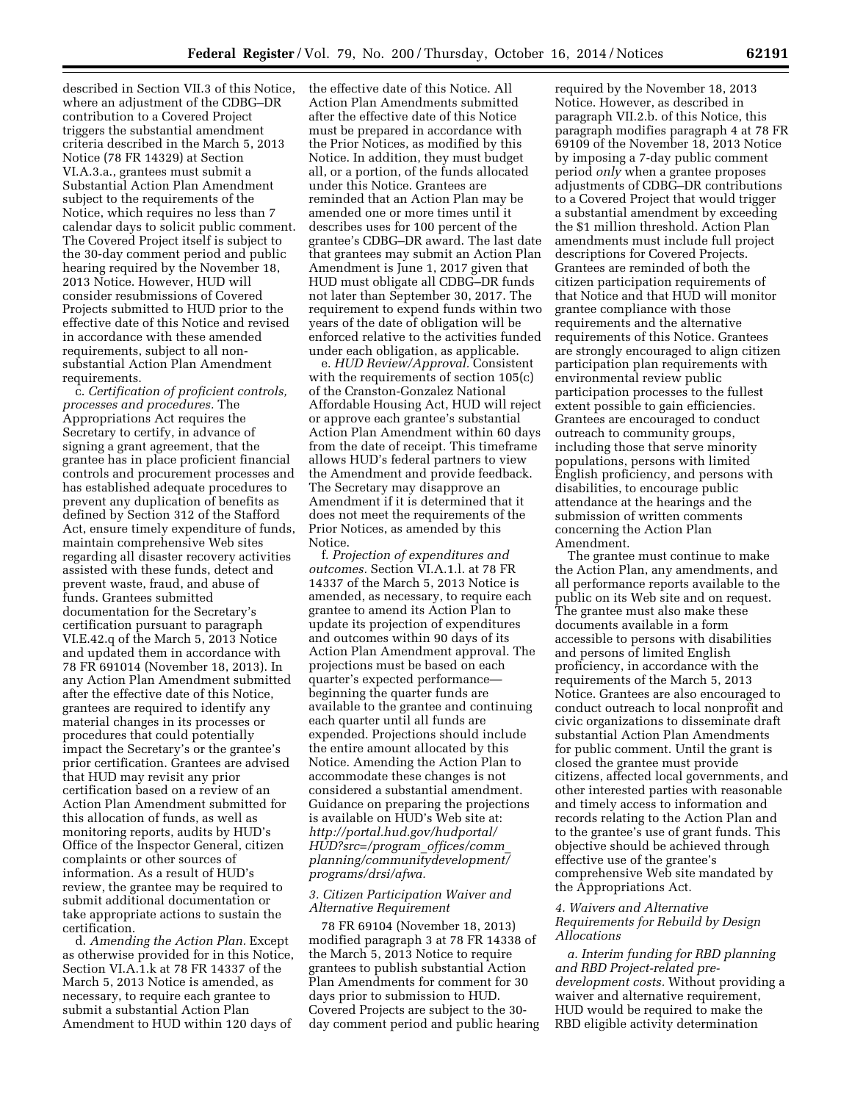described in Section VII.3 of this Notice, where an adjustment of the CDBG–DR contribution to a Covered Project triggers the substantial amendment criteria described in the March 5, 2013 Notice (78 FR 14329) at Section VI.A.3.a., grantees must submit a Substantial Action Plan Amendment subject to the requirements of the Notice, which requires no less than 7 calendar days to solicit public comment. The Covered Project itself is subject to the 30-day comment period and public hearing required by the November 18, 2013 Notice. However, HUD will consider resubmissions of Covered Projects submitted to HUD prior to the effective date of this Notice and revised in accordance with these amended requirements, subject to all nonsubstantial Action Plan Amendment requirements.

c. *Certification of proficient controls, processes and procedures.* The Appropriations Act requires the Secretary to certify, in advance of signing a grant agreement, that the grantee has in place proficient financial controls and procurement processes and has established adequate procedures to prevent any duplication of benefits as defined by Section 312 of the Stafford Act, ensure timely expenditure of funds, maintain comprehensive Web sites regarding all disaster recovery activities assisted with these funds, detect and prevent waste, fraud, and abuse of funds. Grantees submitted documentation for the Secretary's certification pursuant to paragraph VI.E.42.q of the March 5, 2013 Notice and updated them in accordance with 78 FR 691014 (November 18, 2013). In any Action Plan Amendment submitted after the effective date of this Notice, grantees are required to identify any material changes in its processes or procedures that could potentially impact the Secretary's or the grantee's prior certification. Grantees are advised that HUD may revisit any prior certification based on a review of an Action Plan Amendment submitted for this allocation of funds, as well as monitoring reports, audits by HUD's Office of the Inspector General, citizen complaints or other sources of information. As a result of HUD's review, the grantee may be required to submit additional documentation or take appropriate actions to sustain the certification.

d. *Amending the Action Plan.* Except as otherwise provided for in this Notice, Section VI.A.1.k at 78 FR 14337 of the March 5, 2013 Notice is amended, as necessary, to require each grantee to submit a substantial Action Plan Amendment to HUD within 120 days of

the effective date of this Notice. All Action Plan Amendments submitted after the effective date of this Notice must be prepared in accordance with the Prior Notices, as modified by this Notice. In addition, they must budget all, or a portion, of the funds allocated under this Notice. Grantees are reminded that an Action Plan may be amended one or more times until it describes uses for 100 percent of the grantee's CDBG–DR award. The last date that grantees may submit an Action Plan Amendment is June 1, 2017 given that HUD must obligate all CDBG–DR funds not later than September 30, 2017. The requirement to expend funds within two years of the date of obligation will be enforced relative to the activities funded under each obligation, as applicable.

e. *HUD Review/Approval.* Consistent with the requirements of section 105(c) of the Cranston-Gonzalez National Affordable Housing Act, HUD will reject or approve each grantee's substantial Action Plan Amendment within 60 days from the date of receipt. This timeframe allows HUD's federal partners to view the Amendment and provide feedback. The Secretary may disapprove an Amendment if it is determined that it does not meet the requirements of the Prior Notices, as amended by this Notice.

f. *Projection of expenditures and outcomes.* Section VI.A.1.l. at 78 FR 14337 of the March 5, 2013 Notice is amended, as necessary, to require each grantee to amend its Action Plan to update its projection of expenditures and outcomes within 90 days of its Action Plan Amendment approval. The projections must be based on each quarter's expected performance beginning the quarter funds are available to the grantee and continuing each quarter until all funds are expended. Projections should include the entire amount allocated by this Notice. Amending the Action Plan to accommodate these changes is not considered a substantial amendment. Guidance on preparing the projections is available on HUD's Web site at: *[http://portal.hud.gov/hudportal/](http://portal.hud.gov/hudportal/HUD?src=/program_offices/comm_planning/communitydevelopment/programs/drsi/afwa) [HUD?src=/program](http://portal.hud.gov/hudportal/HUD?src=/program_offices/comm_planning/communitydevelopment/programs/drsi/afwa)*\_*offices/comm*\_ *[planning/communitydevelopment/](http://portal.hud.gov/hudportal/HUD?src=/program_offices/comm_planning/communitydevelopment/programs/drsi/afwa) [programs/drsi/afwa.](http://portal.hud.gov/hudportal/HUD?src=/program_offices/comm_planning/communitydevelopment/programs/drsi/afwa)* 

# *3. Citizen Participation Waiver and Alternative Requirement*

78 FR 69104 (November 18, 2013) modified paragraph 3 at 78 FR 14338 of the March 5, 2013 Notice to require grantees to publish substantial Action Plan Amendments for comment for 30 days prior to submission to HUD. Covered Projects are subject to the 30 day comment period and public hearing

required by the November 18, 2013 Notice. However, as described in paragraph VII.2.b. of this Notice, this paragraph modifies paragraph 4 at 78 FR 69109 of the November 18, 2013 Notice by imposing a 7-day public comment period *only* when a grantee proposes adjustments of CDBG–DR contributions to a Covered Project that would trigger a substantial amendment by exceeding the \$1 million threshold. Action Plan amendments must include full project descriptions for Covered Projects. Grantees are reminded of both the citizen participation requirements of that Notice and that HUD will monitor grantee compliance with those requirements and the alternative requirements of this Notice. Grantees are strongly encouraged to align citizen participation plan requirements with environmental review public participation processes to the fullest extent possible to gain efficiencies. Grantees are encouraged to conduct outreach to community groups, including those that serve minority populations, persons with limited English proficiency, and persons with disabilities, to encourage public attendance at the hearings and the submission of written comments concerning the Action Plan Amendment.

The grantee must continue to make the Action Plan, any amendments, and all performance reports available to the public on its Web site and on request. The grantee must also make these documents available in a form accessible to persons with disabilities and persons of limited English proficiency, in accordance with the requirements of the March 5, 2013 Notice. Grantees are also encouraged to conduct outreach to local nonprofit and civic organizations to disseminate draft substantial Action Plan Amendments for public comment. Until the grant is closed the grantee must provide citizens, affected local governments, and other interested parties with reasonable and timely access to information and records relating to the Action Plan and to the grantee's use of grant funds. This objective should be achieved through effective use of the grantee's comprehensive Web site mandated by the Appropriations Act.

# *4. Waivers and Alternative Requirements for Rebuild by Design Allocations*

*a. Interim funding for RBD planning and RBD Project-related predevelopment costs.* Without providing a waiver and alternative requirement, HUD would be required to make the RBD eligible activity determination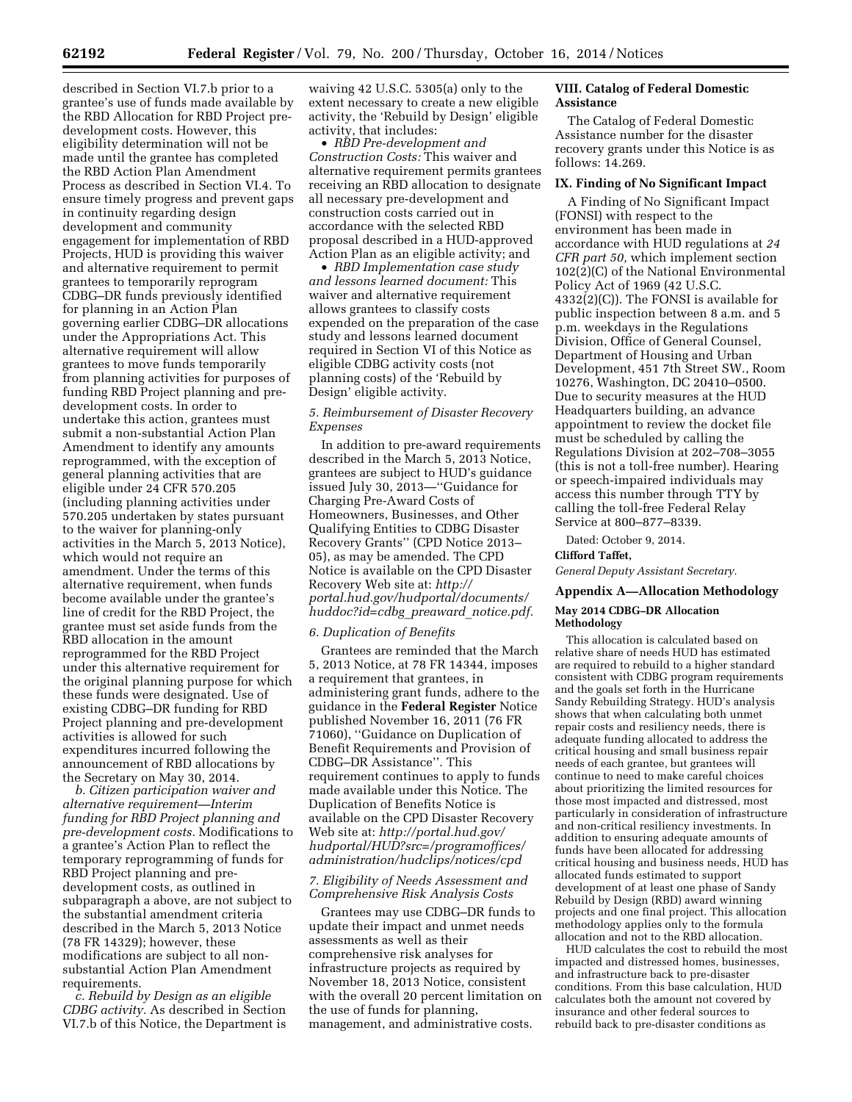described in Section VI.7.b prior to a grantee's use of funds made available by the RBD Allocation for RBD Project predevelopment costs. However, this eligibility determination will not be made until the grantee has completed the RBD Action Plan Amendment Process as described in Section VI.4. To ensure timely progress and prevent gaps in continuity regarding design development and community engagement for implementation of RBD Projects, HUD is providing this waiver and alternative requirement to permit grantees to temporarily reprogram CDBG–DR funds previously identified for planning in an Action Plan governing earlier CDBG–DR allocations under the Appropriations Act. This alternative requirement will allow grantees to move funds temporarily from planning activities for purposes of funding RBD Project planning and predevelopment costs. In order to undertake this action, grantees must submit a non-substantial Action Plan Amendment to identify any amounts reprogrammed, with the exception of general planning activities that are eligible under 24 CFR 570.205 (including planning activities under 570.205 undertaken by states pursuant to the waiver for planning-only activities in the March 5, 2013 Notice), which would not require an amendment. Under the terms of this alternative requirement, when funds become available under the grantee's line of credit for the RBD Project, the grantee must set aside funds from the RBD allocation in the amount reprogrammed for the RBD Project under this alternative requirement for the original planning purpose for which these funds were designated. Use of existing CDBG–DR funding for RBD Project planning and pre-development activities is allowed for such expenditures incurred following the announcement of RBD allocations by the Secretary on May 30, 2014.

*b. Citizen participation waiver and alternative requirement—Interim funding for RBD Project planning and pre-development costs.* Modifications to a grantee's Action Plan to reflect the temporary reprogramming of funds for RBD Project planning and predevelopment costs, as outlined in subparagraph a above, are not subject to the substantial amendment criteria described in the March 5, 2013 Notice (78 FR 14329); however, these modifications are subject to all nonsubstantial Action Plan Amendment requirements.

*c. Rebuild by Design as an eligible CDBG activity.* As described in Section VI.7.b of this Notice, the Department is waiving 42 U.S.C. 5305(a) only to the extent necessary to create a new eligible activity, the 'Rebuild by Design' eligible activity, that includes:

• *RBD Pre-development and Construction Costs:* This waiver and alternative requirement permits grantees receiving an RBD allocation to designate all necessary pre-development and construction costs carried out in accordance with the selected RBD proposal described in a HUD-approved Action Plan as an eligible activity; and

• *RBD Implementation case study and lessons learned document:* This waiver and alternative requirement allows grantees to classify costs expended on the preparation of the case study and lessons learned document required in Section VI of this Notice as eligible CDBG activity costs (not planning costs) of the 'Rebuild by Design' eligible activity.

# *5. Reimbursement of Disaster Recovery Expenses*

In addition to pre-award requirements described in the March 5, 2013 Notice, grantees are subject to HUD's guidance issued July 30, 2013—''Guidance for Charging Pre-Award Costs of Homeowners, Businesses, and Other Qualifying Entities to CDBG Disaster Recovery Grants'' (CPD Notice 2013– 05), as may be amended. The CPD Notice is available on the CPD Disaster Recovery Web site at: *[http://](http://portal.hud.gov/hudportal/documents/huddoc?id=cdbg_preaward_notice.pdf) [portal.hud.gov/hudportal/documents/](http://portal.hud.gov/hudportal/documents/huddoc?id=cdbg_preaward_notice.pdf)  [huddoc?id=cdbg](http://portal.hud.gov/hudportal/documents/huddoc?id=cdbg_preaward_notice.pdf)*\_*preaward*\_*notice.pdf.* 

# *6. Duplication of Benefits*

Grantees are reminded that the March 5, 2013 Notice, at 78 FR 14344, imposes a requirement that grantees, in administering grant funds, adhere to the guidance in the **Federal Register** Notice published November 16, 2011 (76 FR 71060), ''Guidance on Duplication of Benefit Requirements and Provision of CDBG–DR Assistance''. This requirement continues to apply to funds made available under this Notice. The Duplication of Benefits Notice is available on the CPD Disaster Recovery Web site at: *[http://portal.hud.gov/](http://portal.hud.gov/hudportal/HUD?src=/programoffices/administration/hudclips/notices/cpd) [hudportal/HUD?src=/programoffices/](http://portal.hud.gov/hudportal/HUD?src=/programoffices/administration/hudclips/notices/cpd) [administration/hudclips/notices/cpd](http://portal.hud.gov/hudportal/HUD?src=/programoffices/administration/hudclips/notices/cpd)* 

## *7. Eligibility of Needs Assessment and Comprehensive Risk Analysis Costs*

Grantees may use CDBG–DR funds to update their impact and unmet needs assessments as well as their comprehensive risk analyses for infrastructure projects as required by November 18, 2013 Notice, consistent with the overall 20 percent limitation on the use of funds for planning, management, and administrative costs.

# **VIII. Catalog of Federal Domestic Assistance**

The Catalog of Federal Domestic Assistance number for the disaster recovery grants under this Notice is as follows: 14.269.

# **IX. Finding of No Significant Impact**

A Finding of No Significant Impact (FONSI) with respect to the environment has been made in accordance with HUD regulations at *24 CFR part 50,* which implement section 102(2)(C) of the National Environmental Policy Act of 1969 (42 U.S.C. 4332(2)(C)). The FONSI is available for public inspection between 8 a.m. and 5 p.m. weekdays in the Regulations Division, Office of General Counsel, Department of Housing and Urban Development, 451 7th Street SW., Room 10276, Washington, DC 20410–0500. Due to security measures at the HUD Headquarters building, an advance appointment to review the docket file must be scheduled by calling the Regulations Division at 202–708–3055 (this is not a toll-free number). Hearing or speech-impaired individuals may access this number through TTY by calling the toll-free Federal Relay Service at 800–877–8339.

Dated: October 9, 2014.

# **Clifford Taffet,**

*General Deputy Assistant Secretary.* 

# **Appendix A—Allocation Methodology May 2014 CDBG–DR Allocation Methodology**

This allocation is calculated based on relative share of needs HUD has estimated are required to rebuild to a higher standard consistent with CDBG program requirements and the goals set forth in the Hurricane Sandy Rebuilding Strategy. HUD's analysis shows that when calculating both unmet repair costs and resiliency needs, there is adequate funding allocated to address the critical housing and small business repair needs of each grantee, but grantees will continue to need to make careful choices about prioritizing the limited resources for those most impacted and distressed, most particularly in consideration of infrastructure and non-critical resiliency investments. In addition to ensuring adequate amounts of funds have been allocated for addressing critical housing and business needs, HUD has allocated funds estimated to support development of at least one phase of Sandy Rebuild by Design (RBD) award winning projects and one final project. This allocation methodology applies only to the formula allocation and not to the RBD allocation.

HUD calculates the cost to rebuild the most impacted and distressed homes, businesses, and infrastructure back to pre-disaster conditions. From this base calculation, HUD calculates both the amount not covered by insurance and other federal sources to rebuild back to pre-disaster conditions as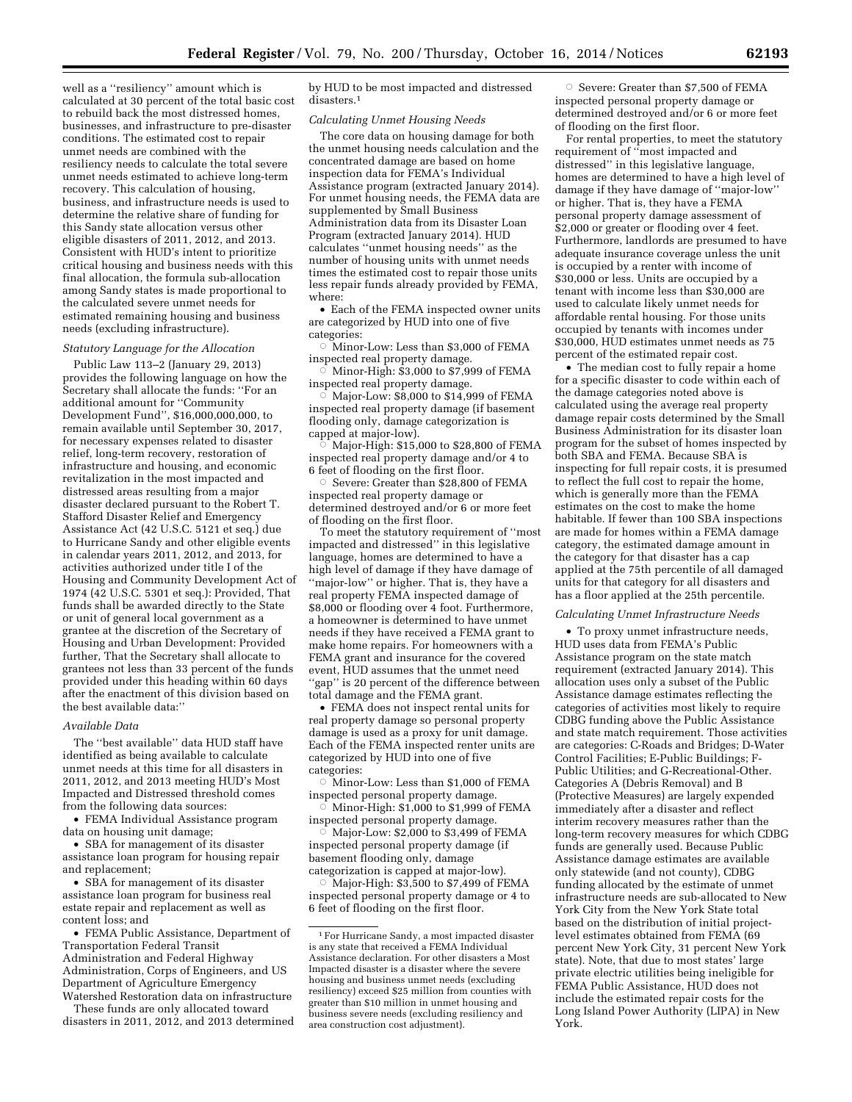well as a ''resiliency'' amount which is calculated at 30 percent of the total basic cost to rebuild back the most distressed homes, businesses, and infrastructure to pre-disaster conditions. The estimated cost to repair unmet needs are combined with the resiliency needs to calculate the total severe unmet needs estimated to achieve long-term recovery. This calculation of housing, business, and infrastructure needs is used to determine the relative share of funding for this Sandy state allocation versus other eligible disasters of 2011, 2012, and 2013. Consistent with HUD's intent to prioritize critical housing and business needs with this final allocation, the formula sub-allocation among Sandy states is made proportional to the calculated severe unmet needs for estimated remaining housing and business needs (excluding infrastructure).

#### *Statutory Language for the Allocation*

Public Law 113–2 (January 29, 2013) provides the following language on how the Secretary shall allocate the funds: ''For an additional amount for ''Community Development Fund'', \$16,000,000,000, to remain available until September 30, 2017, for necessary expenses related to disaster relief, long-term recovery, restoration of infrastructure and housing, and economic revitalization in the most impacted and distressed areas resulting from a major disaster declared pursuant to the Robert T. Stafford Disaster Relief and Emergency Assistance Act (42 U.S.C. 5121 et seq.) due to Hurricane Sandy and other eligible events in calendar years 2011, 2012, and 2013, for activities authorized under title I of the Housing and Community Development Act of 1974 (42 U.S.C. 5301 et seq.): Provided, That funds shall be awarded directly to the State or unit of general local government as a grantee at the discretion of the Secretary of Housing and Urban Development: Provided further, That the Secretary shall allocate to grantees not less than 33 percent of the funds provided under this heading within 60 days after the enactment of this division based on the best available data:''

### *Available Data*

The ''best available'' data HUD staff have identified as being available to calculate unmet needs at this time for all disasters in 2011, 2012, and 2013 meeting HUD's Most Impacted and Distressed threshold comes from the following data sources:

• FEMA Individual Assistance program data on housing unit damage;

• SBA for management of its disaster assistance loan program for housing repair and replacement;

• SBA for management of its disaster assistance loan program for business real estate repair and replacement as well as content loss; and

• FEMA Public Assistance, Department of Transportation Federal Transit Administration and Federal Highway Administration, Corps of Engineers, and US Department of Agriculture Emergency Watershed Restoration data on infrastructure

These funds are only allocated toward disasters in 2011, 2012, and 2013 determined

by HUD to be most impacted and distressed disasters.<sup>1</sup>

#### *Calculating Unmet Housing Needs*

The core data on housing damage for both the unmet housing needs calculation and the concentrated damage are based on home inspection data for FEMA's Individual Assistance program (extracted January 2014). For unmet housing needs, the FEMA data are supplemented by Small Business Administration data from its Disaster Loan Program (extracted January 2014). HUD calculates ''unmet housing needs'' as the number of housing units with unmet needs times the estimated cost to repair those units less repair funds already provided by FEMA, where:

• Each of the FEMA inspected owner units are categorized by HUD into one of five categories:

 $\circ$  Minor-Low: Less than \$3,000 of FEMA inspected real property damage.

 $\overline{\circ}$  Minor-High: \$3,000 to \$7,999 of FEMA inspected real property damage. Æ

Major-Low: \$8,000 to \$14,999 of FEMA inspected real property damage (if basement flooding only, damage categorization is capped at major-low).

 $\circ$  Major-High: \$15,000 to \$28,800 of FEMA inspected real property damage and/or 4 to 6 feet of flooding on the first floor.

Æ Severe: Greater than \$28,800 of FEMA inspected real property damage or determined destroyed and/or 6 or more feet of flooding on the first floor.

To meet the statutory requirement of ''most impacted and distressed'' in this legislative language, homes are determined to have a high level of damage if they have damage of ''major-low'' or higher. That is, they have a real property FEMA inspected damage of \$8,000 or flooding over 4 foot. Furthermore, a homeowner is determined to have unmet needs if they have received a FEMA grant to make home repairs. For homeowners with a FEMA grant and insurance for the covered event, HUD assumes that the unmet need 'gap'' is 20 percent of the difference between total damage and the FEMA grant.

• FEMA does not inspect rental units for real property damage so personal property damage is used as a proxy for unit damage. Each of the FEMA inspected renter units are categorized by HUD into one of five categories:

 $\circ$  Minor-Low: Less than \$1,000 of FEMA inspected personal property damage.

 $\vec{\circ}$  Minor-High: \$1,000 to \$1,999 of FEMA inspected personal property damage.

 $\overline{\circ}$  Major-Low: \$2,000 to \$3,499 of FEMA inspected personal property damage (if basement flooding only, damage

categorization is capped at major-low).  $\circ$  Major-High: \$3,500 to \$7,499 of FEMA inspected personal property damage or 4 to 6 feet of flooding on the first floor.

 $\circ$  Severe: Greater than \$7,500 of FEMA inspected personal property damage or determined destroyed and/or 6 or more feet of flooding on the first floor.

For rental properties, to meet the statutory requirement of ''most impacted and distressed'' in this legislative language, homes are determined to have a high level of damage if they have damage of ''major-low'' or higher. That is, they have a FEMA personal property damage assessment of  $$2,000$  or greater or flooding over 4 feet. Furthermore, landlords are presumed to have adequate insurance coverage unless the unit is occupied by a renter with income of \$30,000 or less. Units are occupied by a tenant with income less than \$30,000 are used to calculate likely unmet needs for affordable rental housing. For those units occupied by tenants with incomes under \$30,000, HUD estimates unmet needs as 75 percent of the estimated repair cost.

• The median cost to fully repair a home for a specific disaster to code within each of the damage categories noted above is calculated using the average real property damage repair costs determined by the Small Business Administration for its disaster loan program for the subset of homes inspected by both SBA and FEMA. Because SBA is inspecting for full repair costs, it is presumed to reflect the full cost to repair the home, which is generally more than the FEMA estimates on the cost to make the home habitable. If fewer than 100 SBA inspections are made for homes within a FEMA damage category, the estimated damage amount in the category for that disaster has a cap applied at the 75th percentile of all damaged units for that category for all disasters and has a floor applied at the 25th percentile.

#### *Calculating Unmet Infrastructure Needs*

• To proxy unmet infrastructure needs, HUD uses data from FEMA's Public Assistance program on the state match requirement (extracted January 2014). This allocation uses only a subset of the Public Assistance damage estimates reflecting the categories of activities most likely to require CDBG funding above the Public Assistance and state match requirement. Those activities are categories: C-Roads and Bridges; D-Water Control Facilities; E-Public Buildings; F-Public Utilities; and G-Recreational-Other. Categories A (Debris Removal) and B (Protective Measures) are largely expended immediately after a disaster and reflect interim recovery measures rather than the long-term recovery measures for which CDBG funds are generally used. Because Public Assistance damage estimates are available only statewide (and not county), CDBG funding allocated by the estimate of unmet infrastructure needs are sub-allocated to New York City from the New York State total based on the distribution of initial projectlevel estimates obtained from FEMA (69 percent New York City, 31 percent New York state). Note, that due to most states' large private electric utilities being ineligible for FEMA Public Assistance, HUD does not include the estimated repair costs for the Long Island Power Authority (LIPA) in New York.

<sup>1</sup>For Hurricane Sandy, a most impacted disaster is any state that received a FEMA Individual Assistance declaration. For other disasters a Most Impacted disaster is a disaster where the severe housing and business unmet needs (excluding resiliency) exceed \$25 million from counties with greater than \$10 million in unmet housing and business severe needs (excluding resiliency and area construction cost adjustment).